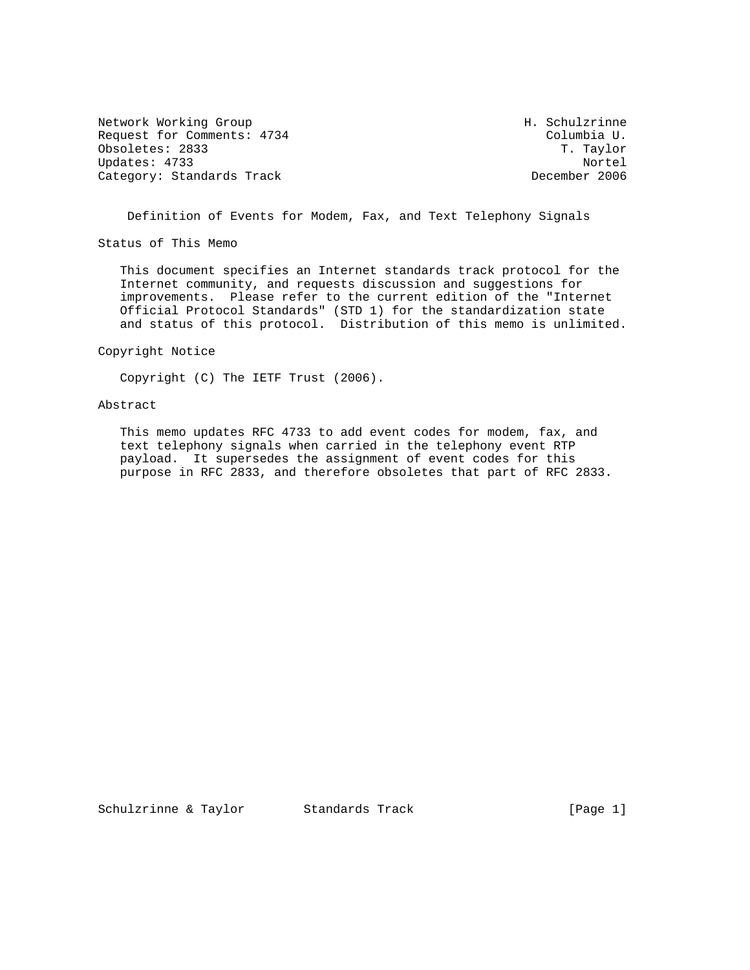Network Working Group Network Morking Group H. Schulzrinne Request for Comments: 4734 Columbia U.<br>
Obsoletes: 2833 T. Taylor Obsoletes: 2833 Updates: 4733 Nortel Category: Standards Track

Definition of Events for Modem, Fax, and Text Telephony Signals

Status of This Memo

 This document specifies an Internet standards track protocol for the Internet community, and requests discussion and suggestions for improvements. Please refer to the current edition of the "Internet Official Protocol Standards" (STD 1) for the standardization state and status of this protocol. Distribution of this memo is unlimited.

Copyright Notice

Copyright (C) The IETF Trust (2006).

### Abstract

 This memo updates RFC 4733 to add event codes for modem, fax, and text telephony signals when carried in the telephony event RTP payload. It supersedes the assignment of event codes for this purpose in RFC 2833, and therefore obsoletes that part of RFC 2833.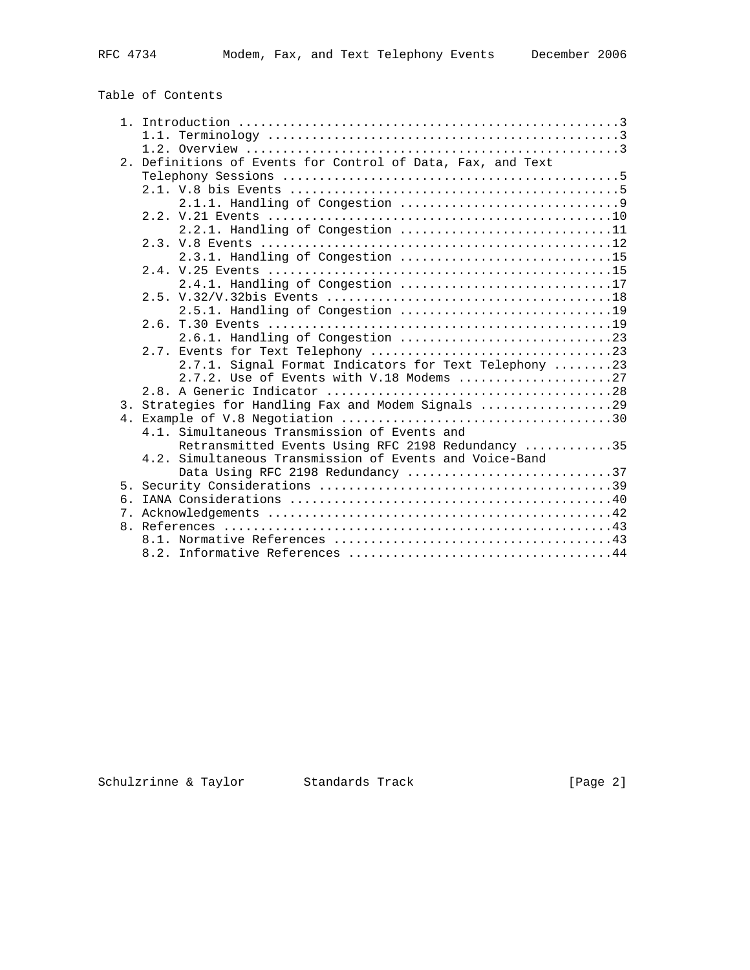# Table of Contents

|     | 1.1.                                                        |
|-----|-------------------------------------------------------------|
|     |                                                             |
|     | 2. Definitions of Events for Control of Data, Fax, and Text |
|     |                                                             |
|     |                                                             |
|     |                                                             |
|     |                                                             |
|     | 2.2.1. Handling of Congestion 11                            |
|     |                                                             |
|     | 2.3.1. Handling of Congestion 15                            |
|     |                                                             |
|     | 2.4.1. Handling of Congestion 17                            |
|     |                                                             |
|     | 2.5.1. Handling of Congestion 19                            |
|     |                                                             |
|     |                                                             |
|     |                                                             |
|     | 2.7.1. Signal Format Indicators for Text Telephony 23       |
|     | 2.7.2. Use of Events with V.18 Modems 27                    |
|     |                                                             |
|     | 3. Strategies for Handling Fax and Modem Signals 29         |
|     |                                                             |
|     | 4.1. Simultaneous Transmission of Events and                |
|     | Retransmitted Events Using RFC 2198 Redundancy 35           |
|     | 4.2. Simultaneous Transmission of Events and Voice-Band     |
|     | Data Using RFC 2198 Redundancy 37                           |
| 5.  |                                                             |
| რ — |                                                             |
|     |                                                             |
|     |                                                             |
|     |                                                             |
|     |                                                             |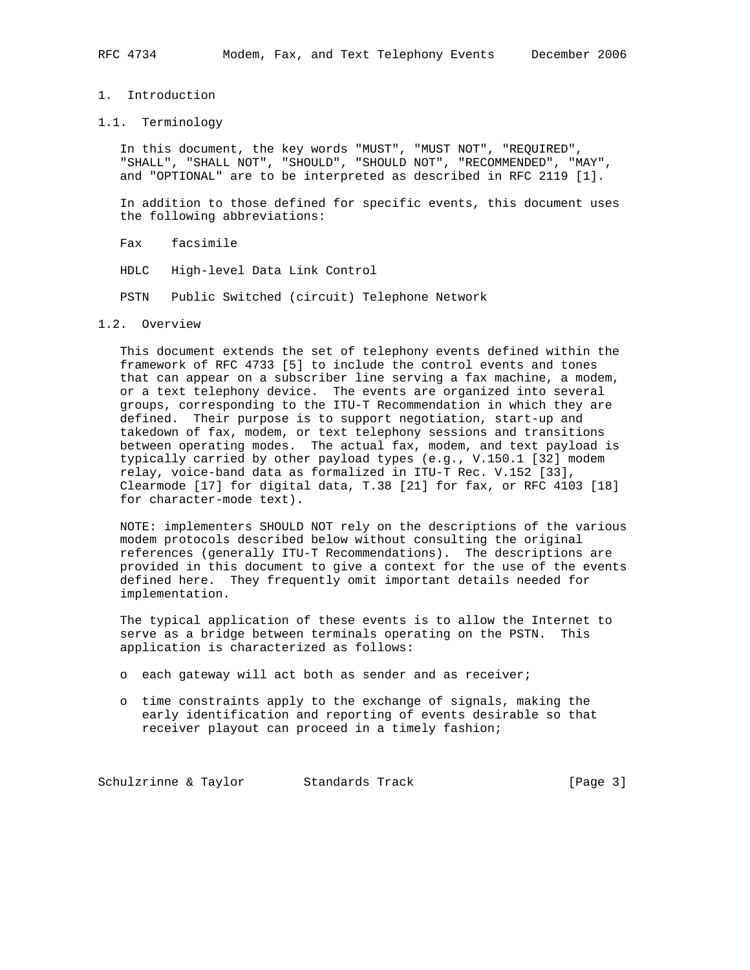## 1. Introduction

## 1.1. Terminology

 In this document, the key words "MUST", "MUST NOT", "REQUIRED", "SHALL", "SHALL NOT", "SHOULD", "SHOULD NOT", "RECOMMENDED", "MAY", and "OPTIONAL" are to be interpreted as described in RFC 2119 [1].

 In addition to those defined for specific events, this document uses the following abbreviations:

Fax facsimile

HDLC High-level Data Link Control

PSTN Public Switched (circuit) Telephone Network

#### 1.2. Overview

 This document extends the set of telephony events defined within the framework of RFC 4733 [5] to include the control events and tones that can appear on a subscriber line serving a fax machine, a modem, or a text telephony device. The events are organized into several groups, corresponding to the ITU-T Recommendation in which they are defined. Their purpose is to support negotiation, start-up and takedown of fax, modem, or text telephony sessions and transitions between operating modes. The actual fax, modem, and text payload is typically carried by other payload types (e.g., V.150.1 [32] modem relay, voice-band data as formalized in ITU-T Rec. V.152 [33], Clearmode [17] for digital data, T.38 [21] for fax, or RFC 4103 [18] for character-mode text).

 NOTE: implementers SHOULD NOT rely on the descriptions of the various modem protocols described below without consulting the original references (generally ITU-T Recommendations). The descriptions are provided in this document to give a context for the use of the events defined here. They frequently omit important details needed for implementation.

 The typical application of these events is to allow the Internet to serve as a bridge between terminals operating on the PSTN. This application is characterized as follows:

- o each gateway will act both as sender and as receiver;
- o time constraints apply to the exchange of signals, making the early identification and reporting of events desirable so that receiver playout can proceed in a timely fashion;

Schulzrinne & Taylor Standards Track [Page 3]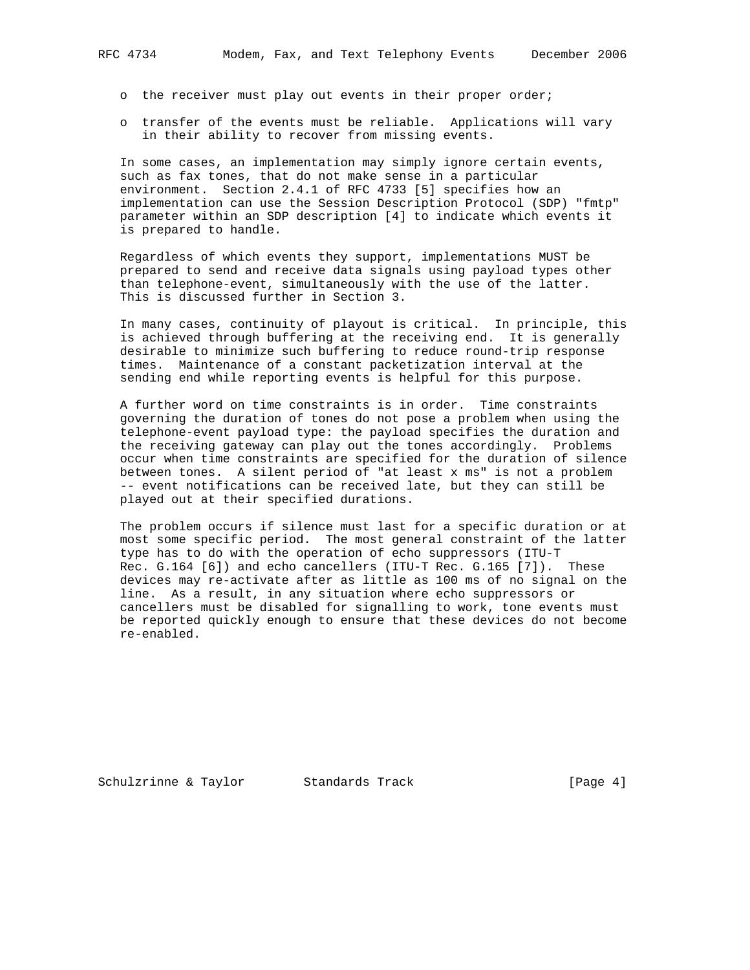- o the receiver must play out events in their proper order;
- o transfer of the events must be reliable. Applications will vary in their ability to recover from missing events.

 In some cases, an implementation may simply ignore certain events, such as fax tones, that do not make sense in a particular environment. Section 2.4.1 of RFC 4733 [5] specifies how an implementation can use the Session Description Protocol (SDP) "fmtp" parameter within an SDP description [4] to indicate which events it is prepared to handle.

 Regardless of which events they support, implementations MUST be prepared to send and receive data signals using payload types other than telephone-event, simultaneously with the use of the latter. This is discussed further in Section 3.

 In many cases, continuity of playout is critical. In principle, this is achieved through buffering at the receiving end. It is generally desirable to minimize such buffering to reduce round-trip response times. Maintenance of a constant packetization interval at the sending end while reporting events is helpful for this purpose.

 A further word on time constraints is in order. Time constraints governing the duration of tones do not pose a problem when using the telephone-event payload type: the payload specifies the duration and the receiving gateway can play out the tones accordingly. Problems occur when time constraints are specified for the duration of silence between tones. A silent period of "at least x ms" is not a problem -- event notifications can be received late, but they can still be played out at their specified durations.

 The problem occurs if silence must last for a specific duration or at most some specific period. The most general constraint of the latter type has to do with the operation of echo suppressors (ITU-T Rec. G.164 [6]) and echo cancellers (ITU-T Rec. G.165 [7]). These devices may re-activate after as little as 100 ms of no signal on the line. As a result, in any situation where echo suppressors or cancellers must be disabled for signalling to work, tone events must be reported quickly enough to ensure that these devices do not become re-enabled.

Schulzrinne & Taylor Standards Track [Page 4]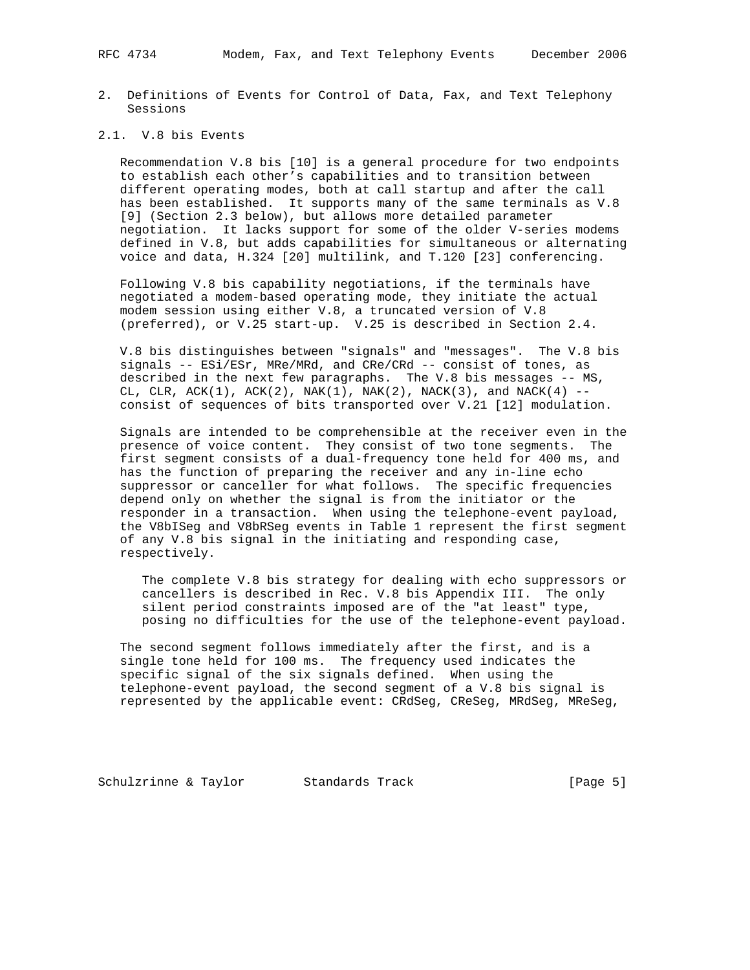2. Definitions of Events for Control of Data, Fax, and Text Telephony Sessions

## 2.1. V.8 bis Events

 Recommendation V.8 bis [10] is a general procedure for two endpoints to establish each other's capabilities and to transition between different operating modes, both at call startup and after the call has been established. It supports many of the same terminals as V.8 [9] (Section 2.3 below), but allows more detailed parameter negotiation. It lacks support for some of the older V-series modems defined in V.8, but adds capabilities for simultaneous or alternating voice and data, H.324 [20] multilink, and T.120 [23] conferencing.

 Following V.8 bis capability negotiations, if the terminals have negotiated a modem-based operating mode, they initiate the actual modem session using either V.8, a truncated version of V.8 (preferred), or V.25 start-up. V.25 is described in Section 2.4.

 V.8 bis distinguishes between "signals" and "messages". The V.8 bis signals -- ESi/ESr, MRe/MRd, and CRe/CRd -- consist of tones, as described in the next few paragraphs. The V.8 bis messages -- MS, CL, CLR,  $ACK(1)$ ,  $ACK(2)$ ,  $NAK(1)$ ,  $NAK(2)$ ,  $NACK(3)$ , and  $NACK(4)$  -consist of sequences of bits transported over V.21 [12] modulation.

 Signals are intended to be comprehensible at the receiver even in the presence of voice content. They consist of two tone segments. The first segment consists of a dual-frequency tone held for 400 ms, and has the function of preparing the receiver and any in-line echo suppressor or canceller for what follows. The specific frequencies depend only on whether the signal is from the initiator or the responder in a transaction. When using the telephone-event payload, the V8bISeg and V8bRSeg events in Table 1 represent the first segment of any V.8 bis signal in the initiating and responding case, respectively.

 The complete V.8 bis strategy for dealing with echo suppressors or cancellers is described in Rec. V.8 bis Appendix III. The only silent period constraints imposed are of the "at least" type, posing no difficulties for the use of the telephone-event payload.

 The second segment follows immediately after the first, and is a single tone held for 100 ms. The frequency used indicates the specific signal of the six signals defined. When using the telephone-event payload, the second segment of a V.8 bis signal is represented by the applicable event: CRdSeg, CReSeg, MRdSeg, MReSeg,

Schulzrinne & Taylor Standards Track [Page 5]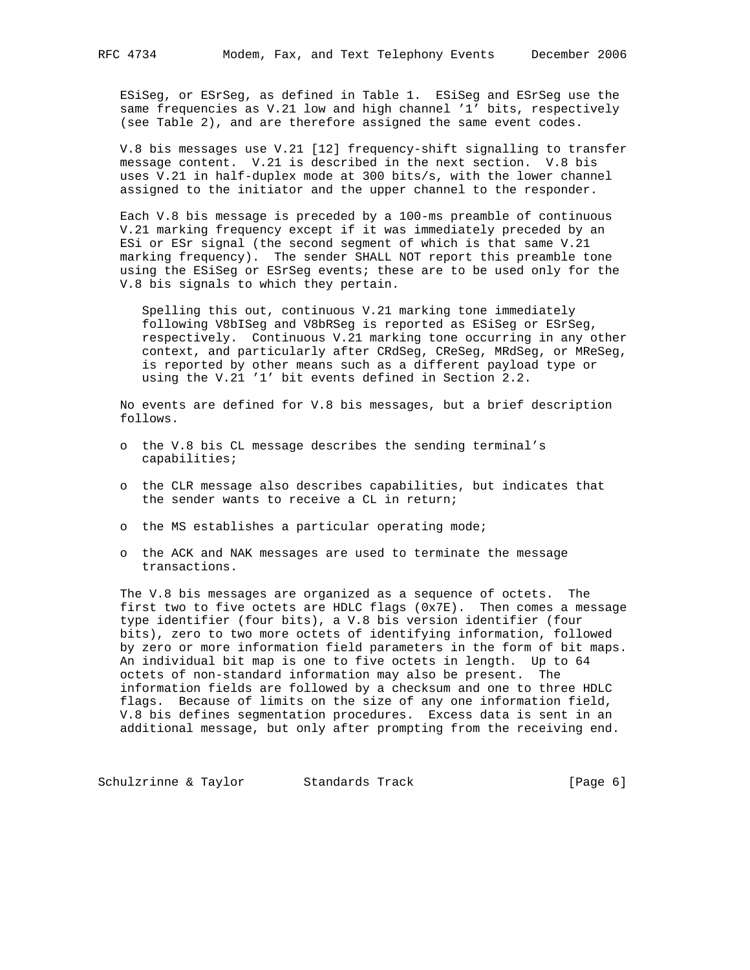ESiSeg, or ESrSeg, as defined in Table 1. ESiSeg and ESrSeg use the same frequencies as V.21 low and high channel '1' bits, respectively (see Table 2), and are therefore assigned the same event codes.

 V.8 bis messages use V.21 [12] frequency-shift signalling to transfer message content. V.21 is described in the next section. V.8 bis uses V.21 in half-duplex mode at 300 bits/s, with the lower channel assigned to the initiator and the upper channel to the responder.

 Each V.8 bis message is preceded by a 100-ms preamble of continuous V.21 marking frequency except if it was immediately preceded by an ESi or ESr signal (the second segment of which is that same V.21 marking frequency). The sender SHALL NOT report this preamble tone using the ESiSeg or ESrSeg events; these are to be used only for the V.8 bis signals to which they pertain.

 Spelling this out, continuous V.21 marking tone immediately following V8bISeg and V8bRSeg is reported as ESiSeg or ESrSeg, respectively. Continuous V.21 marking tone occurring in any other context, and particularly after CRdSeg, CReSeg, MRdSeg, or MReSeg, is reported by other means such as a different payload type or using the V.21 '1' bit events defined in Section 2.2.

 No events are defined for V.8 bis messages, but a brief description follows.

- o the V.8 bis CL message describes the sending terminal's capabilities;
- o the CLR message also describes capabilities, but indicates that the sender wants to receive a CL in return;
- o the MS establishes a particular operating mode;
- o the ACK and NAK messages are used to terminate the message transactions.

 The V.8 bis messages are organized as a sequence of octets. The first two to five octets are HDLC flags  $(0x7E)$ . Then comes a message type identifier (four bits), a V.8 bis version identifier (four bits), zero to two more octets of identifying information, followed by zero or more information field parameters in the form of bit maps. An individual bit map is one to five octets in length. Up to 64 octets of non-standard information may also be present. The information fields are followed by a checksum and one to three HDLC flags. Because of limits on the size of any one information field, V.8 bis defines segmentation procedures. Excess data is sent in an additional message, but only after prompting from the receiving end.

Schulzrinne & Taylor Standards Track [Page 6]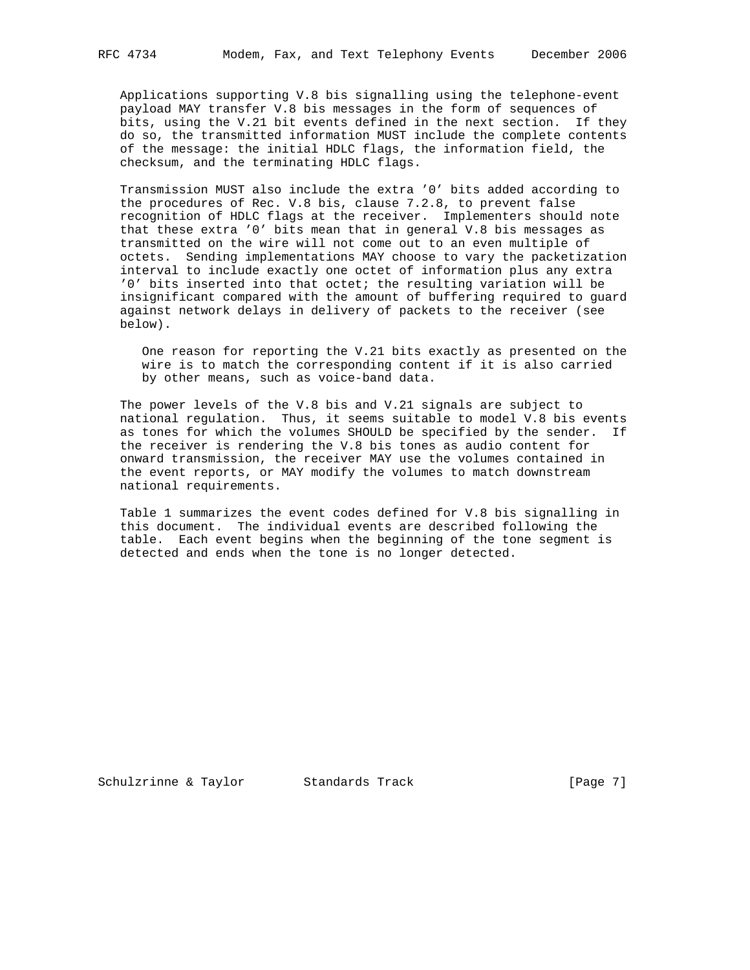Applications supporting V.8 bis signalling using the telephone-event payload MAY transfer V.8 bis messages in the form of sequences of bits, using the V.21 bit events defined in the next section. If they do so, the transmitted information MUST include the complete contents of the message: the initial HDLC flags, the information field, the checksum, and the terminating HDLC flags.

 Transmission MUST also include the extra '0' bits added according to the procedures of Rec. V.8 bis, clause 7.2.8, to prevent false recognition of HDLC flags at the receiver. Implementers should note that these extra '0' bits mean that in general V.8 bis messages as transmitted on the wire will not come out to an even multiple of octets. Sending implementations MAY choose to vary the packetization interval to include exactly one octet of information plus any extra '0' bits inserted into that octet; the resulting variation will be insignificant compared with the amount of buffering required to guard against network delays in delivery of packets to the receiver (see below).

 One reason for reporting the V.21 bits exactly as presented on the wire is to match the corresponding content if it is also carried by other means, such as voice-band data.

 The power levels of the V.8 bis and V.21 signals are subject to national regulation. Thus, it seems suitable to model V.8 bis events as tones for which the volumes SHOULD be specified by the sender. If the receiver is rendering the V.8 bis tones as audio content for onward transmission, the receiver MAY use the volumes contained in the event reports, or MAY modify the volumes to match downstream national requirements.

 Table 1 summarizes the event codes defined for V.8 bis signalling in this document. The individual events are described following the table. Each event begins when the beginning of the tone segment is detected and ends when the tone is no longer detected.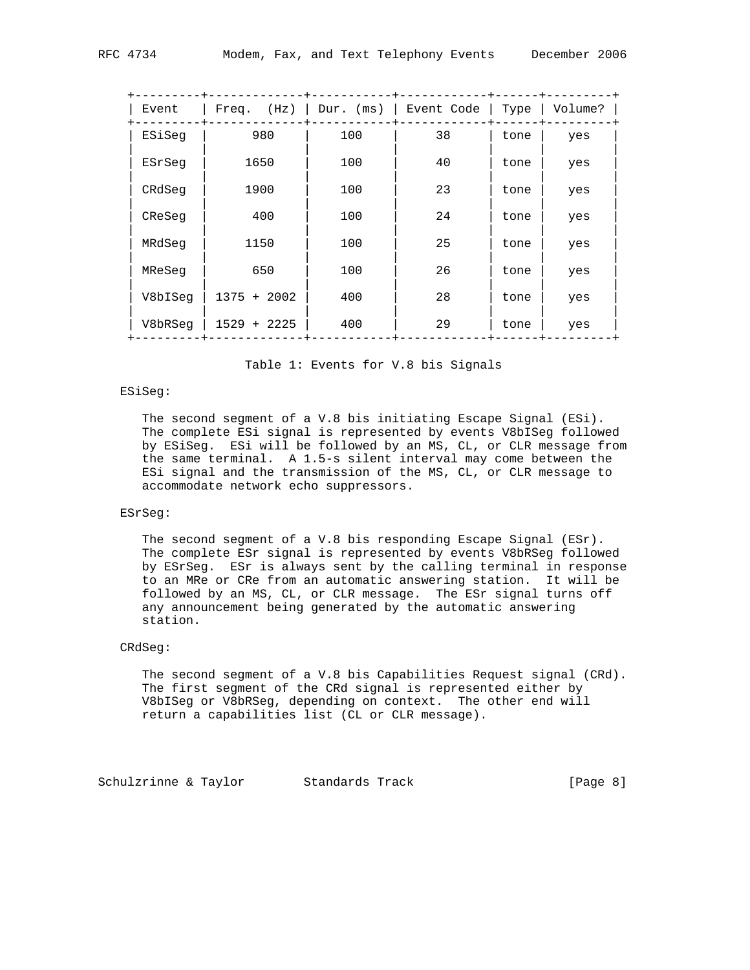| Event Code  <br>Type   Volume?<br>Freq. $(Hz)$   Dur. $(ms)$  <br>Event<br>980<br>100<br>38<br>ESiSeq<br>tone<br>yes<br>40<br>100<br>1650<br>ESrSeq<br>tone<br>yes<br>100<br>23<br>1900<br>CRdSeq<br>tone<br>yes<br>100<br>24<br>400<br>CReSeg<br>tone<br>yes<br>100<br>25<br>MRdSeq<br>1150<br>tone<br>yes<br>100<br>26<br>650<br>MReSeg<br>tone<br>yes<br>28<br>$1375 + 2002$<br>400<br>V8bISeg<br>tone<br>yes<br>29<br>400<br>V8bRSeq<br>$1529 + 2225$<br>tone<br>yes |  |  |  |
|--------------------------------------------------------------------------------------------------------------------------------------------------------------------------------------------------------------------------------------------------------------------------------------------------------------------------------------------------------------------------------------------------------------------------------------------------------------------------|--|--|--|
|                                                                                                                                                                                                                                                                                                                                                                                                                                                                          |  |  |  |
|                                                                                                                                                                                                                                                                                                                                                                                                                                                                          |  |  |  |
|                                                                                                                                                                                                                                                                                                                                                                                                                                                                          |  |  |  |
|                                                                                                                                                                                                                                                                                                                                                                                                                                                                          |  |  |  |
|                                                                                                                                                                                                                                                                                                                                                                                                                                                                          |  |  |  |
|                                                                                                                                                                                                                                                                                                                                                                                                                                                                          |  |  |  |
|                                                                                                                                                                                                                                                                                                                                                                                                                                                                          |  |  |  |
|                                                                                                                                                                                                                                                                                                                                                                                                                                                                          |  |  |  |
|                                                                                                                                                                                                                                                                                                                                                                                                                                                                          |  |  |  |

Table 1: Events for V.8 bis Signals

### ESiSeg:

 The second segment of a V.8 bis initiating Escape Signal (ESi). The complete ESi signal is represented by events V8bISeg followed by ESiSeg. ESi will be followed by an MS, CL, or CLR message from the same terminal. A 1.5-s silent interval may come between the ESi signal and the transmission of the MS, CL, or CLR message to accommodate network echo suppressors.

## ESrSeg:

 The second segment of a V.8 bis responding Escape Signal (ESr). The complete ESr signal is represented by events V8bRSeg followed by ESrSeg. ESr is always sent by the calling terminal in response to an MRe or CRe from an automatic answering station. It will be followed by an MS, CL, or CLR message. The ESr signal turns off any announcement being generated by the automatic answering station.

### CRdSeg:

 The second segment of a V.8 bis Capabilities Request signal (CRd). The first segment of the CRd signal is represented either by V8bISeg or V8bRSeg, depending on context. The other end will return a capabilities list (CL or CLR message).

Schulzrinne & Taylor Standards Track [Page 8]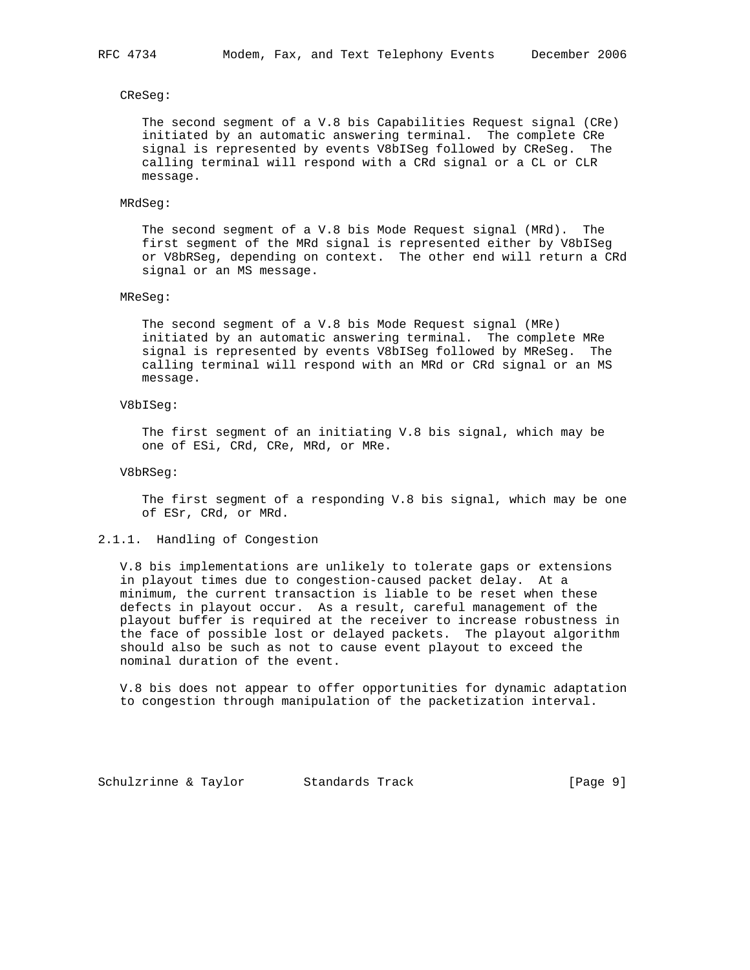CReSeg:

 The second segment of a V.8 bis Capabilities Request signal (CRe) initiated by an automatic answering terminal. The complete CRe signal is represented by events V8bISeg followed by CReSeg. The calling terminal will respond with a CRd signal or a CL or CLR message.

#### MRdSeg:

 The second segment of a V.8 bis Mode Request signal (MRd). The first segment of the MRd signal is represented either by V8bISeg or V8bRSeg, depending on context. The other end will return a CRd signal or an MS message.

#### MReSeg:

 The second segment of a V.8 bis Mode Request signal (MRe) initiated by an automatic answering terminal. The complete MRe signal is represented by events V8bISeg followed by MReSeg. The calling terminal will respond with an MRd or CRd signal or an MS message.

### V8bISeg:

 The first segment of an initiating V.8 bis signal, which may be one of ESi, CRd, CRe, MRd, or MRe.

#### V8bRSeg:

 The first segment of a responding V.8 bis signal, which may be one of ESr, CRd, or MRd.

### 2.1.1. Handling of Congestion

 V.8 bis implementations are unlikely to tolerate gaps or extensions in playout times due to congestion-caused packet delay. At a minimum, the current transaction is liable to be reset when these defects in playout occur. As a result, careful management of the playout buffer is required at the receiver to increase robustness in the face of possible lost or delayed packets. The playout algorithm should also be such as not to cause event playout to exceed the nominal duration of the event.

 V.8 bis does not appear to offer opportunities for dynamic adaptation to congestion through manipulation of the packetization interval.

Schulzrinne & Taylor Standards Track [Page 9]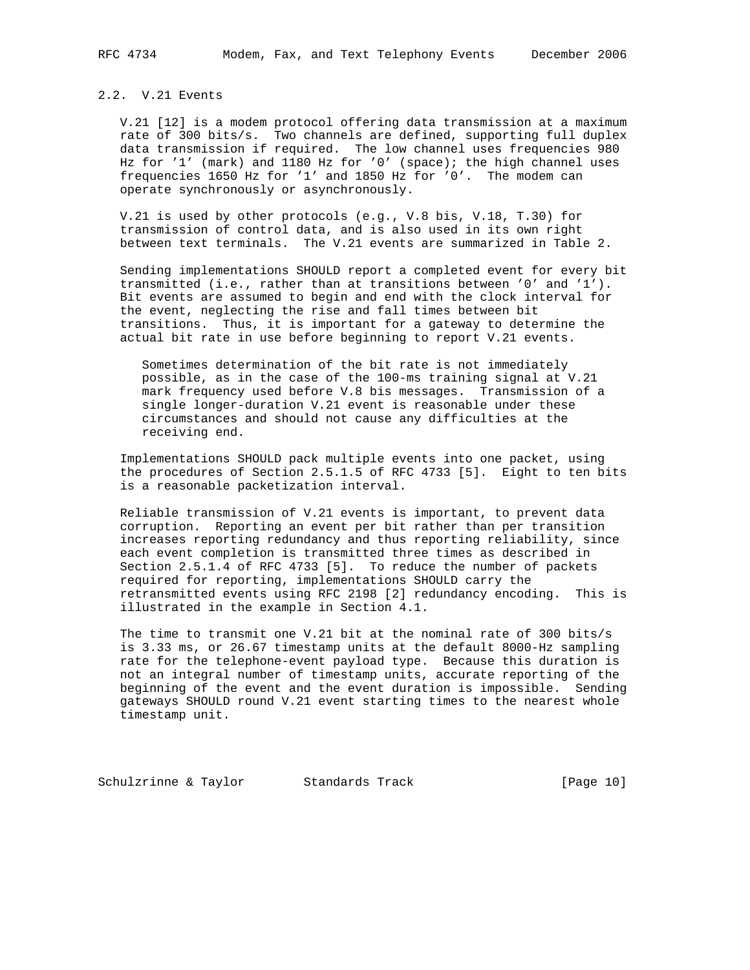## 2.2. V.21 Events

 V.21 [12] is a modem protocol offering data transmission at a maximum rate of 300 bits/s. Two channels are defined, supporting full duplex data transmission if required. The low channel uses frequencies 980 Hz for '1' (mark) and 1180 Hz for '0' (space); the high channel uses frequencies 1650 Hz for '1' and 1850 Hz for '0'. The modem can operate synchronously or asynchronously.

 V.21 is used by other protocols (e.g., V.8 bis, V.18, T.30) for transmission of control data, and is also used in its own right between text terminals. The V.21 events are summarized in Table 2.

 Sending implementations SHOULD report a completed event for every bit transmitted (i.e., rather than at transitions between '0' and '1'). Bit events are assumed to begin and end with the clock interval for the event, neglecting the rise and fall times between bit transitions. Thus, it is important for a gateway to determine the actual bit rate in use before beginning to report V.21 events.

 Sometimes determination of the bit rate is not immediately possible, as in the case of the 100-ms training signal at V.21 mark frequency used before V.8 bis messages. Transmission of a single longer-duration V.21 event is reasonable under these circumstances and should not cause any difficulties at the receiving end.

 Implementations SHOULD pack multiple events into one packet, using the procedures of Section 2.5.1.5 of RFC 4733 [5]. Eight to ten bits is a reasonable packetization interval.

 Reliable transmission of V.21 events is important, to prevent data corruption. Reporting an event per bit rather than per transition increases reporting redundancy and thus reporting reliability, since each event completion is transmitted three times as described in Section 2.5.1.4 of RFC 4733 [5]. To reduce the number of packets required for reporting, implementations SHOULD carry the retransmitted events using RFC 2198 [2] redundancy encoding. This is illustrated in the example in Section 4.1.

 The time to transmit one V.21 bit at the nominal rate of 300 bits/s is 3.33 ms, or 26.67 timestamp units at the default 8000-Hz sampling rate for the telephone-event payload type. Because this duration is not an integral number of timestamp units, accurate reporting of the beginning of the event and the event duration is impossible. Sending gateways SHOULD round V.21 event starting times to the nearest whole timestamp unit.

Schulzrinne & Taylor Standards Track [Page 10]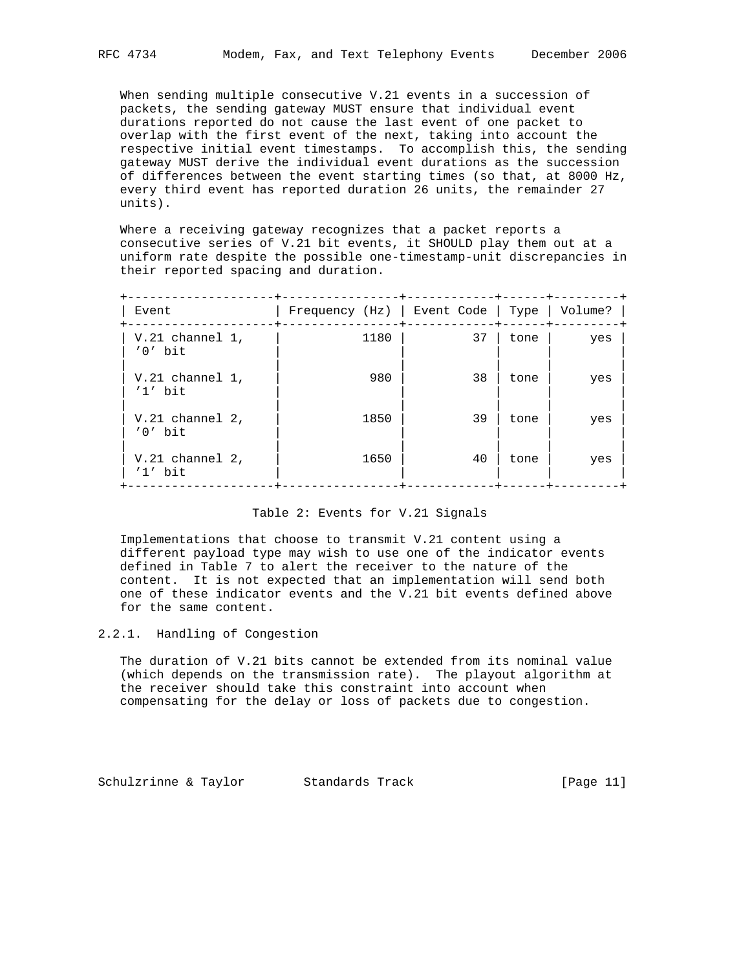When sending multiple consecutive V.21 events in a succession of

 packets, the sending gateway MUST ensure that individual event durations reported do not cause the last event of one packet to overlap with the first event of the next, taking into account the respective initial event timestamps. To accomplish this, the sending gateway MUST derive the individual event durations as the succession of differences between the event starting times (so that, at 8000 Hz, every third event has reported duration 26 units, the remainder 27 units).

 Where a receiving gateway recognizes that a packet reports a consecutive series of V.21 bit events, it SHOULD play them out at a uniform rate despite the possible one-timestamp-unit discrepancies in their reported spacing and duration.

| Event                          | Frequency $(Hz)$   Event Code   Type   Volume? |    |      |     |
|--------------------------------|------------------------------------------------|----|------|-----|
| $V.21$ channel 1,<br>$'0'$ bit | 1180                                           | 37 | tone | yes |
| $V.21$ channel 1,<br>$'1'$ bit | 980                                            | 38 | tone | yes |
| $V.21$ channel 2,<br>$'0'$ bit | 1850                                           | 39 | tone | yes |
| $V.21$ channel 2,<br>$'1'$ bit | 1650                                           | 40 | tone | yes |

### Table 2: Events for V.21 Signals

 Implementations that choose to transmit V.21 content using a different payload type may wish to use one of the indicator events defined in Table 7 to alert the receiver to the nature of the content. It is not expected that an implementation will send both one of these indicator events and the V.21 bit events defined above for the same content.

2.2.1. Handling of Congestion

 The duration of V.21 bits cannot be extended from its nominal value (which depends on the transmission rate). The playout algorithm at the receiver should take this constraint into account when compensating for the delay or loss of packets due to congestion.

Schulzrinne & Taylor Standards Track [Page 11]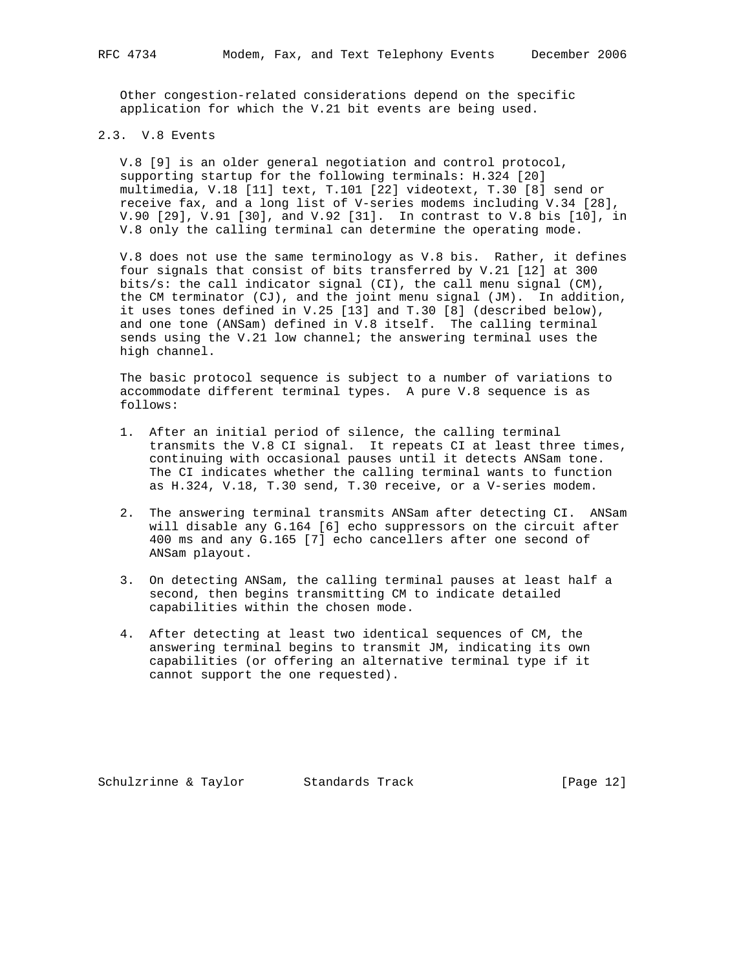Other congestion-related considerations depend on the specific application for which the V.21 bit events are being used.

## 2.3. V.8 Events

 V.8 [9] is an older general negotiation and control protocol, supporting startup for the following terminals: H.324 [20] multimedia, V.18 [11] text, T.101 [22] videotext, T.30 [8] send or receive fax, and a long list of V-series modems including V.34 [28], V.90 [29], V.91 [30], and V.92 [31]. In contrast to V.8 bis [10], in V.8 only the calling terminal can determine the operating mode.

 V.8 does not use the same terminology as V.8 bis. Rather, it defines four signals that consist of bits transferred by V.21 [12] at 300 bits/s: the call indicator signal (CI), the call menu signal (CM), the CM terminator (CJ), and the joint menu signal (JM). In addition, it uses tones defined in V.25 [13] and T.30 [8] (described below), and one tone (ANSam) defined in V.8 itself. The calling terminal sends using the V.21 low channel; the answering terminal uses the high channel.

 The basic protocol sequence is subject to a number of variations to accommodate different terminal types. A pure V.8 sequence is as follows:

- 1. After an initial period of silence, the calling terminal transmits the V.8 CI signal. It repeats CI at least three times, continuing with occasional pauses until it detects ANSam tone. The CI indicates whether the calling terminal wants to function as H.324, V.18, T.30 send, T.30 receive, or a V-series modem.
- 2. The answering terminal transmits ANSam after detecting CI. ANSam will disable any G.164 [6] echo suppressors on the circuit after 400 ms and any G.165 [7] echo cancellers after one second of ANSam playout.
- 3. On detecting ANSam, the calling terminal pauses at least half a second, then begins transmitting CM to indicate detailed capabilities within the chosen mode.
- 4. After detecting at least two identical sequences of CM, the answering terminal begins to transmit JM, indicating its own capabilities (or offering an alternative terminal type if it cannot support the one requested).

Schulzrinne & Taylor Standards Track [Page 12]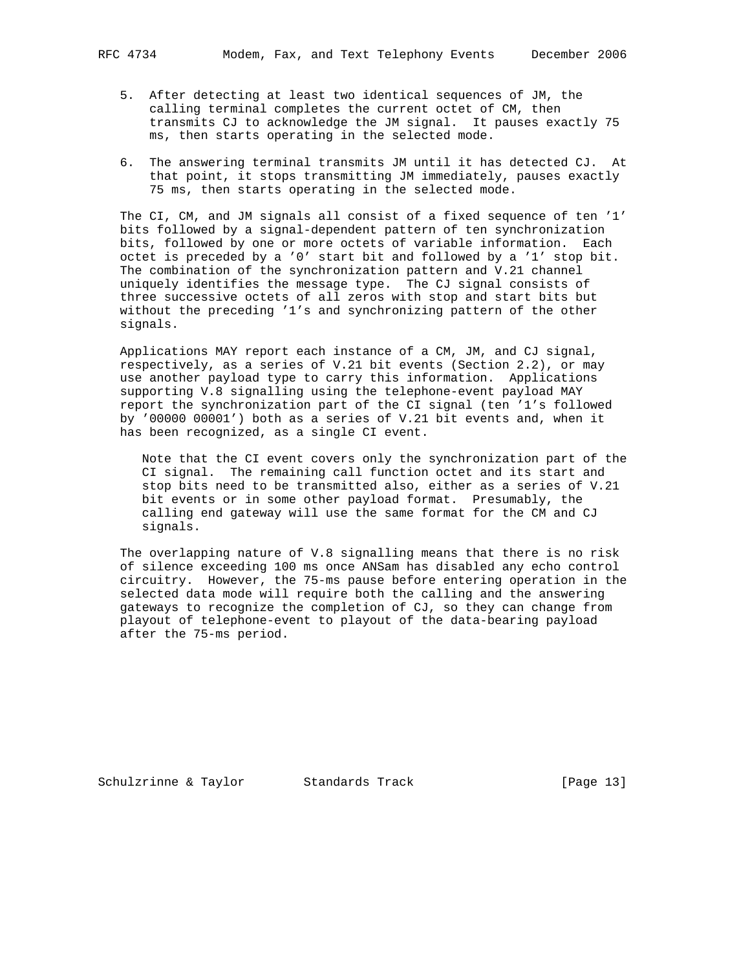- - 5. After detecting at least two identical sequences of JM, the calling terminal completes the current octet of CM, then transmits CJ to acknowledge the JM signal. It pauses exactly 75 ms, then starts operating in the selected mode.
	- 6. The answering terminal transmits JM until it has detected CJ. At that point, it stops transmitting JM immediately, pauses exactly 75 ms, then starts operating in the selected mode.

 The CI, CM, and JM signals all consist of a fixed sequence of ten '1' bits followed by a signal-dependent pattern of ten synchronization bits, followed by one or more octets of variable information. Each octet is preceded by a '0' start bit and followed by a '1' stop bit. The combination of the synchronization pattern and V.21 channel uniquely identifies the message type. The CJ signal consists of three successive octets of all zeros with stop and start bits but without the preceding '1's and synchronizing pattern of the other signals.

 Applications MAY report each instance of a CM, JM, and CJ signal, respectively, as a series of V.21 bit events (Section 2.2), or may use another payload type to carry this information. Applications supporting V.8 signalling using the telephone-event payload MAY report the synchronization part of the CI signal (ten '1's followed by '00000 00001') both as a series of V.21 bit events and, when it has been recognized, as a single CI event.

 Note that the CI event covers only the synchronization part of the CI signal. The remaining call function octet and its start and stop bits need to be transmitted also, either as a series of V.21 bit events or in some other payload format. Presumably, the calling end gateway will use the same format for the CM and CJ signals.

 The overlapping nature of V.8 signalling means that there is no risk of silence exceeding 100 ms once ANSam has disabled any echo control circuitry. However, the 75-ms pause before entering operation in the selected data mode will require both the calling and the answering gateways to recognize the completion of CJ, so they can change from playout of telephone-event to playout of the data-bearing payload after the 75-ms period.

Schulzrinne & Taylor Standards Track [Page 13]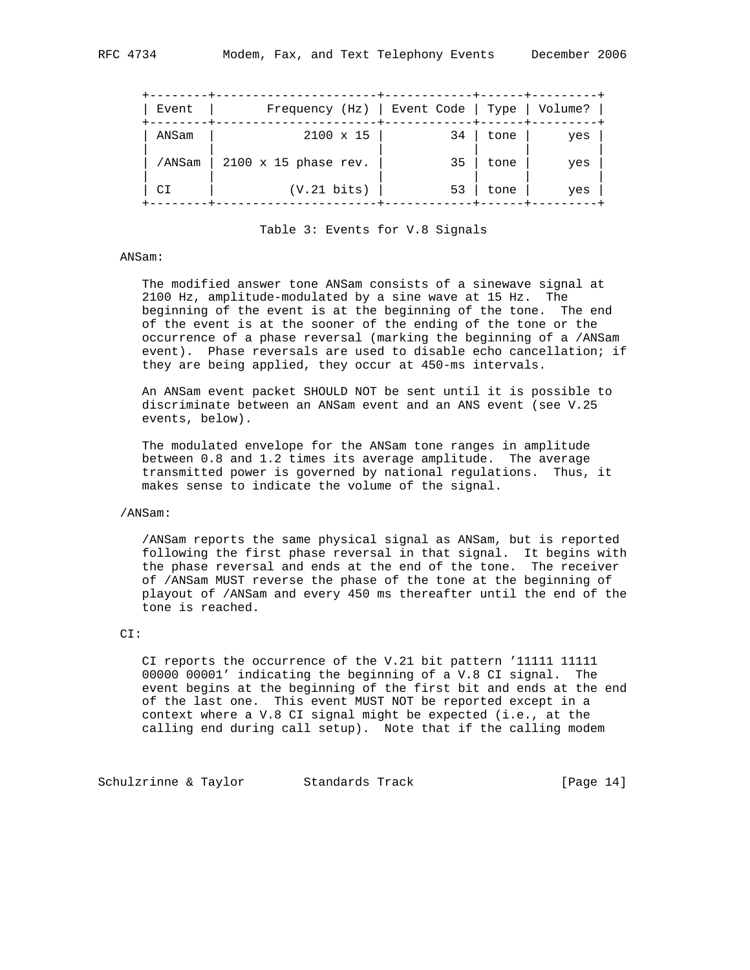| Event  | Frequency (Hz)   Event Code   Type |    |      | Volume? |  |
|--------|------------------------------------|----|------|---------|--|
| ANSam  | $2100 \times 15$                   | 34 | tone | yes     |  |
| /ANSam | $2100 \times 15$ phase rev.        | 35 | tone | yes     |  |
| CΙ     | $(V.21 \; bits)$                   | 53 | tone | yes     |  |

Table 3: Events for V.8 Signals

#### ANSam:

 The modified answer tone ANSam consists of a sinewave signal at 2100 Hz, amplitude-modulated by a sine wave at 15 Hz. The beginning of the event is at the beginning of the tone. The end of the event is at the sooner of the ending of the tone or the occurrence of a phase reversal (marking the beginning of a /ANSam event). Phase reversals are used to disable echo cancellation; if they are being applied, they occur at 450-ms intervals.

 An ANSam event packet SHOULD NOT be sent until it is possible to discriminate between an ANSam event and an ANS event (see V.25 events, below).

 The modulated envelope for the ANSam tone ranges in amplitude between 0.8 and 1.2 times its average amplitude. The average transmitted power is governed by national regulations. Thus, it makes sense to indicate the volume of the signal.

#### /ANSam:

 /ANSam reports the same physical signal as ANSam, but is reported following the first phase reversal in that signal. It begins with the phase reversal and ends at the end of the tone. The receiver of /ANSam MUST reverse the phase of the tone at the beginning of playout of /ANSam and every 450 ms thereafter until the end of the tone is reached.

### CI:

 CI reports the occurrence of the V.21 bit pattern '11111 11111 00000 00001' indicating the beginning of a V.8 CI signal. The event begins at the beginning of the first bit and ends at the end of the last one. This event MUST NOT be reported except in a context where a V.8 CI signal might be expected (i.e., at the calling end during call setup). Note that if the calling modem

Schulzrinne & Taylor Standards Track [Page 14]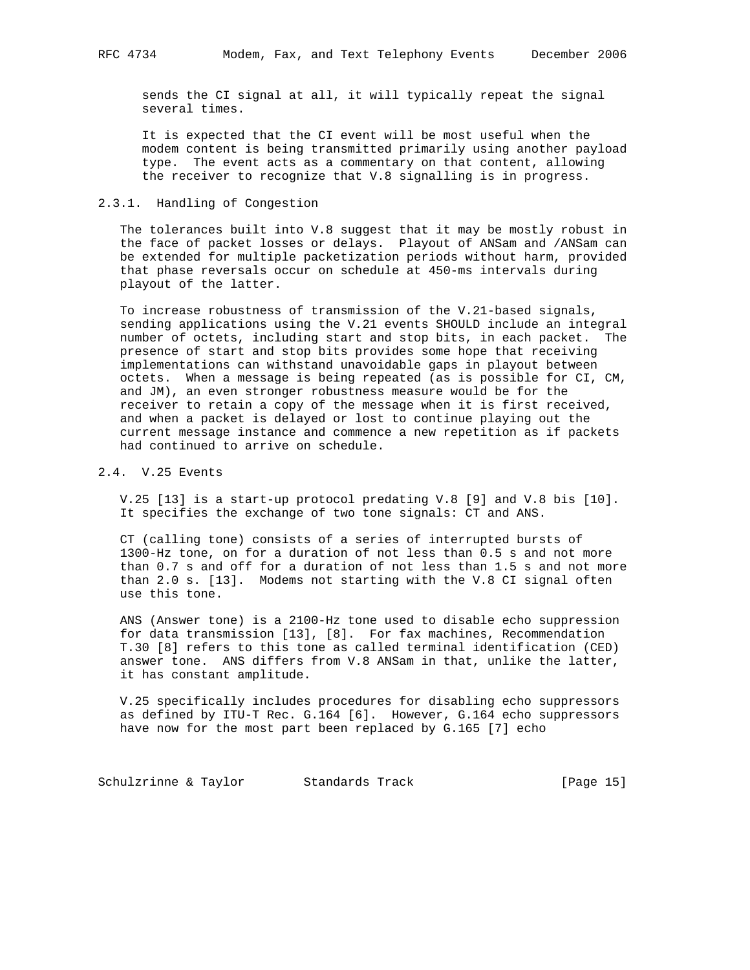sends the CI signal at all, it will typically repeat the signal several times.

 It is expected that the CI event will be most useful when the modem content is being transmitted primarily using another payload type. The event acts as a commentary on that content, allowing the receiver to recognize that V.8 signalling is in progress.

### 2.3.1. Handling of Congestion

 The tolerances built into V.8 suggest that it may be mostly robust in the face of packet losses or delays. Playout of ANSam and /ANSam can be extended for multiple packetization periods without harm, provided that phase reversals occur on schedule at 450-ms intervals during playout of the latter.

 To increase robustness of transmission of the V.21-based signals, sending applications using the V.21 events SHOULD include an integral number of octets, including start and stop bits, in each packet. The presence of start and stop bits provides some hope that receiving implementations can withstand unavoidable gaps in playout between octets. When a message is being repeated (as is possible for CI, CM, and JM), an even stronger robustness measure would be for the receiver to retain a copy of the message when it is first received, and when a packet is delayed or lost to continue playing out the current message instance and commence a new repetition as if packets had continued to arrive on schedule.

## 2.4. V.25 Events

 V.25 [13] is a start-up protocol predating V.8 [9] and V.8 bis [10]. It specifies the exchange of two tone signals: CT and ANS.

 CT (calling tone) consists of a series of interrupted bursts of 1300-Hz tone, on for a duration of not less than 0.5 s and not more than 0.7 s and off for a duration of not less than 1.5 s and not more than 2.0 s. [13]. Modems not starting with the V.8 CI signal often use this tone.

 ANS (Answer tone) is a 2100-Hz tone used to disable echo suppression for data transmission [13], [8]. For fax machines, Recommendation T.30 [8] refers to this tone as called terminal identification (CED) answer tone. ANS differs from V.8 ANSam in that, unlike the latter, it has constant amplitude.

 V.25 specifically includes procedures for disabling echo suppressors as defined by ITU-T Rec. G.164 [6]. However, G.164 echo suppressors have now for the most part been replaced by G.165 [7] echo

Schulzrinne & Taylor Standards Track [Page 15]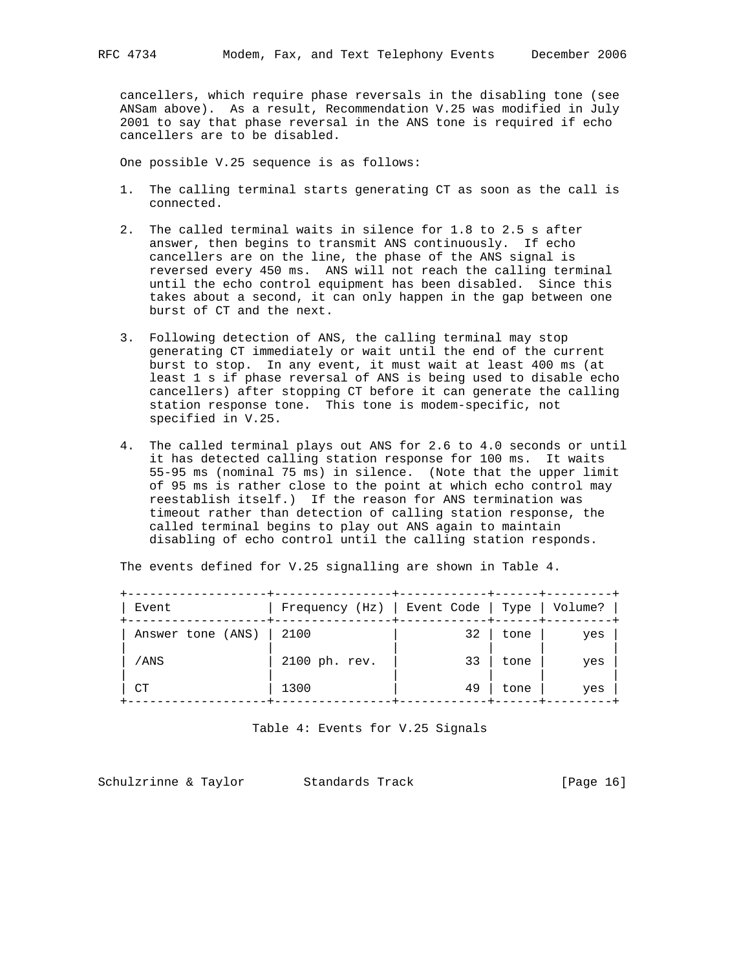cancellers, which require phase reversals in the disabling tone (see ANSam above). As a result, Recommendation V.25 was modified in July 2001 to say that phase reversal in the ANS tone is required if echo cancellers are to be disabled.

One possible V.25 sequence is as follows:

- 1. The calling terminal starts generating CT as soon as the call is connected.
- 2. The called terminal waits in silence for 1.8 to 2.5 s after answer, then begins to transmit ANS continuously. If echo cancellers are on the line, the phase of the ANS signal is reversed every 450 ms. ANS will not reach the calling terminal until the echo control equipment has been disabled. Since this takes about a second, it can only happen in the gap between one burst of CT and the next.
- 3. Following detection of ANS, the calling terminal may stop generating CT immediately or wait until the end of the current burst to stop. In any event, it must wait at least 400 ms (at least 1 s if phase reversal of ANS is being used to disable echo cancellers) after stopping CT before it can generate the calling station response tone. This tone is modem-specific, not specified in V.25.
- 4. The called terminal plays out ANS for 2.6 to 4.0 seconds or until it has detected calling station response for 100 ms. It waits 55-95 ms (nominal 75 ms) in silence. (Note that the upper limit of 95 ms is rather close to the point at which echo control may reestablish itself.) If the reason for ANS termination was timeout rather than detection of calling station response, the called terminal begins to play out ANS again to maintain disabling of echo control until the calling station responds.

| Event             | $Frequency(Hz)$ | Event Code   Type |      | Volume? |
|-------------------|-----------------|-------------------|------|---------|
| Answer tone (ANS) | 2100            | 32                | tone | yes     |
| /ANS              | 2100 ph. rev.   | 33                | tone | yes     |
| СT                | 1300            | 49                | tone | yes     |
|                   |                 |                   |      |         |

The events defined for V.25 signalling are shown in Table 4.

Table 4: Events for V.25 Signals

Schulzrinne & Taylor Standards Track [Page 16]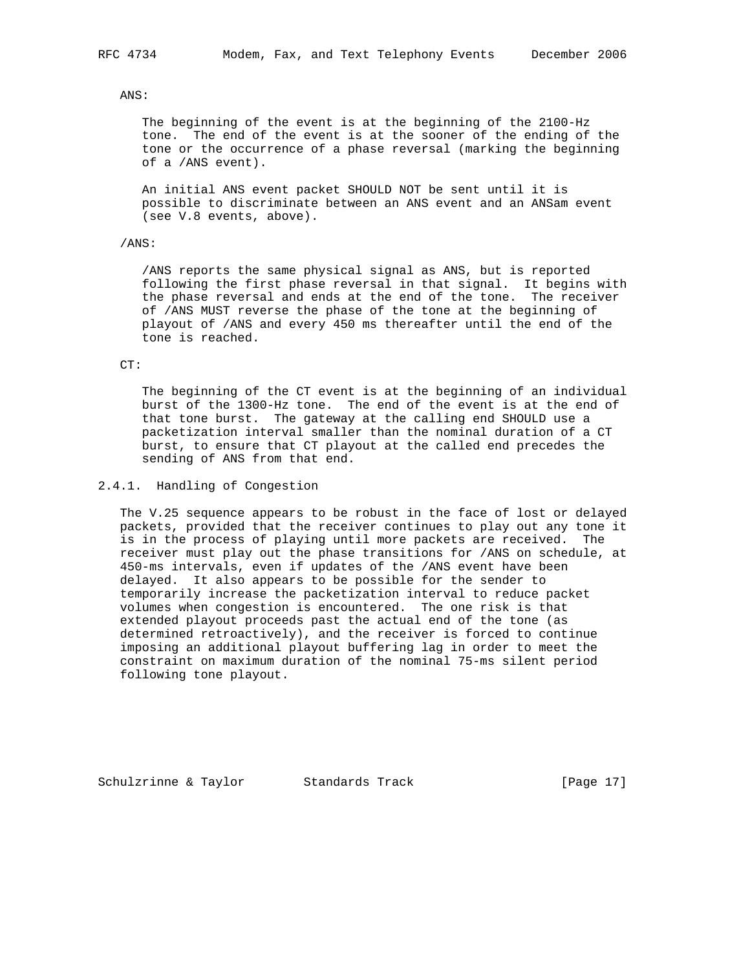### ANS:

 The beginning of the event is at the beginning of the 2100-Hz tone. The end of the event is at the sooner of the ending of the tone or the occurrence of a phase reversal (marking the beginning of a /ANS event).

 An initial ANS event packet SHOULD NOT be sent until it is possible to discriminate between an ANS event and an ANSam event (see V.8 events, above).

## /ANS:

 /ANS reports the same physical signal as ANS, but is reported following the first phase reversal in that signal. It begins with the phase reversal and ends at the end of the tone. The receiver of /ANS MUST reverse the phase of the tone at the beginning of playout of /ANS and every 450 ms thereafter until the end of the tone is reached.

#### CT:

 The beginning of the CT event is at the beginning of an individual burst of the 1300-Hz tone. The end of the event is at the end of that tone burst. The gateway at the calling end SHOULD use a packetization interval smaller than the nominal duration of a CT burst, to ensure that CT playout at the called end precedes the sending of ANS from that end.

### 2.4.1. Handling of Congestion

 The V.25 sequence appears to be robust in the face of lost or delayed packets, provided that the receiver continues to play out any tone it is in the process of playing until more packets are received. The receiver must play out the phase transitions for /ANS on schedule, at 450-ms intervals, even if updates of the /ANS event have been delayed. It also appears to be possible for the sender to temporarily increase the packetization interval to reduce packet volumes when congestion is encountered. The one risk is that extended playout proceeds past the actual end of the tone (as determined retroactively), and the receiver is forced to continue imposing an additional playout buffering lag in order to meet the constraint on maximum duration of the nominal 75-ms silent period following tone playout.

Schulzrinne & Taylor Standards Track [Page 17]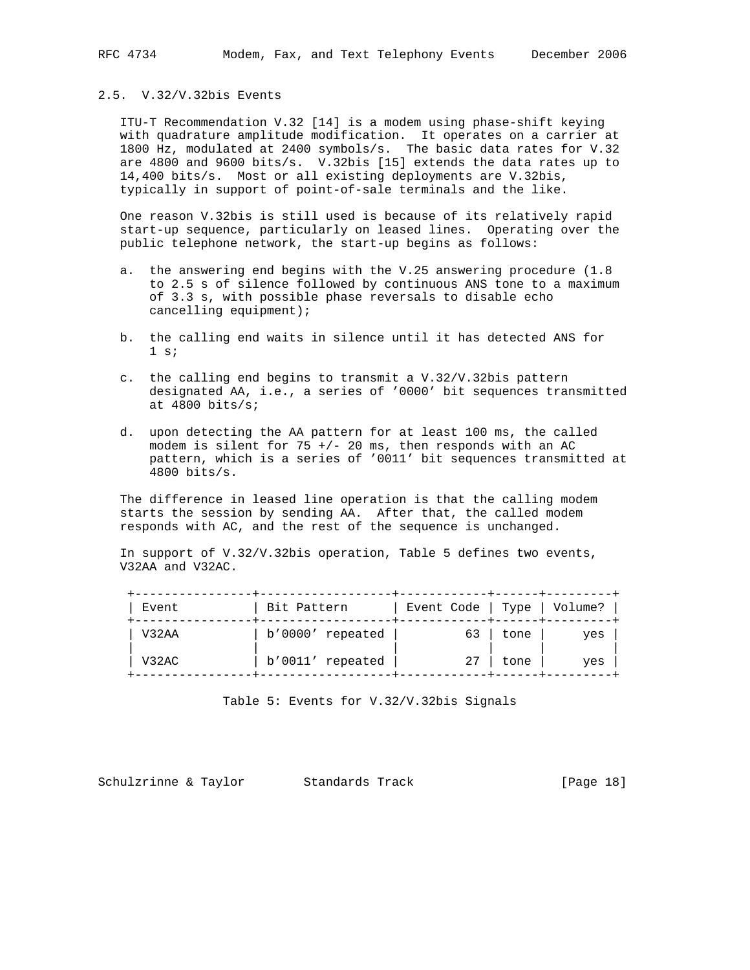ITU-T Recommendation V.32 [14] is a modem using phase-shift keying with quadrature amplitude modification. It operates on a carrier at 1800 Hz, modulated at 2400 symbols/s. The basic data rates for V.32 are 4800 and 9600 bits/s. V.32bis [15] extends the data rates up to 14,400 bits/s. Most or all existing deployments are V.32bis, typically in support of point-of-sale terminals and the like.

 One reason V.32bis is still used is because of its relatively rapid start-up sequence, particularly on leased lines. Operating over the public telephone network, the start-up begins as follows:

- a. the answering end begins with the V.25 answering procedure (1.8 to 2.5 s of silence followed by continuous ANS tone to a maximum of 3.3 s, with possible phase reversals to disable echo cancelling equipment);
- b. the calling end waits in silence until it has detected ANS for  $1 \; \text{s}$ ;
- c. the calling end begins to transmit a V.32/V.32bis pattern designated AA, i.e., a series of '0000' bit sequences transmitted at 4800 bits/s;
- d. upon detecting the AA pattern for at least 100 ms, the called modem is silent for  $75 +/- 20$  ms, then responds with an AC pattern, which is a series of '0011' bit sequences transmitted at 4800 bits/s.

 The difference in leased line operation is that the calling modem starts the session by sending AA. After that, the called modem responds with AC, and the rest of the sequence is unchanged.

 In support of V.32/V.32bis operation, Table 5 defines two events, V32AA and V32AC.

| Event | Bit Pattern      | Event Code   Type   Volume? |      |     |
|-------|------------------|-----------------------------|------|-----|
| V32AA | b'0000' repeated | 63                          | tone | yes |
| V32AC | b'0011' repeated | 27                          | tone | yes |

Table 5: Events for V.32/V.32bis Signals

Schulzrinne & Taylor Standards Track [Page 18]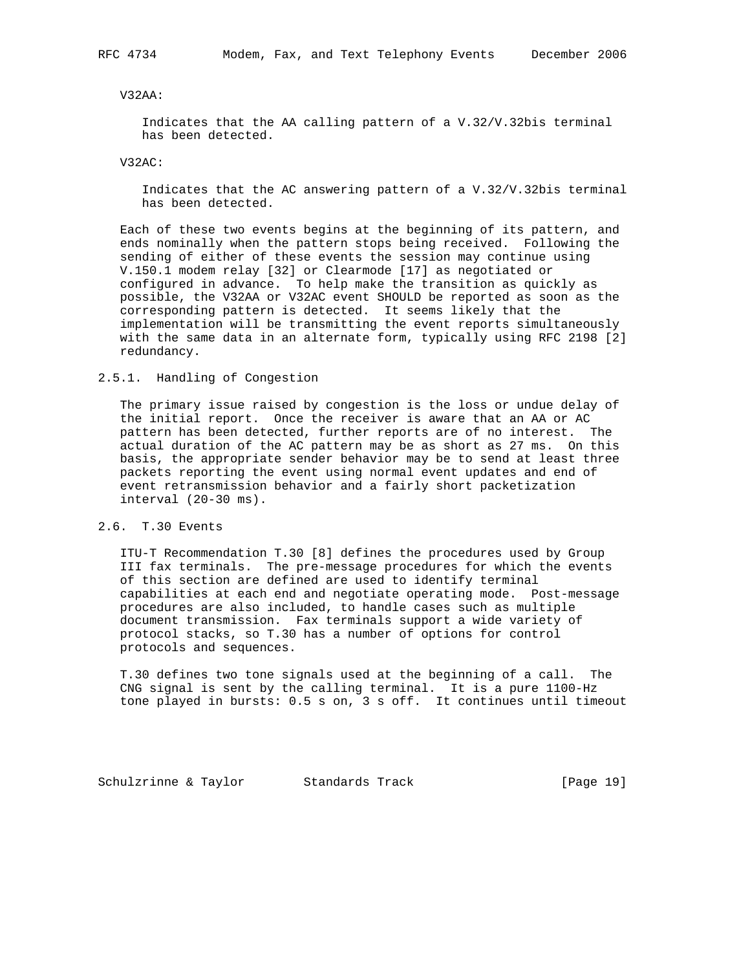### V32AA:

 Indicates that the AA calling pattern of a V.32/V.32bis terminal has been detected.

V32AC:

 Indicates that the AC answering pattern of a V.32/V.32bis terminal has been detected.

 Each of these two events begins at the beginning of its pattern, and ends nominally when the pattern stops being received. Following the sending of either of these events the session may continue using V.150.1 modem relay [32] or Clearmode [17] as negotiated or configured in advance. To help make the transition as quickly as possible, the V32AA or V32AC event SHOULD be reported as soon as the corresponding pattern is detected. It seems likely that the implementation will be transmitting the event reports simultaneously with the same data in an alternate form, typically using RFC 2198 [2] redundancy.

### 2.5.1. Handling of Congestion

 The primary issue raised by congestion is the loss or undue delay of the initial report. Once the receiver is aware that an AA or AC pattern has been detected, further reports are of no interest. The actual duration of the AC pattern may be as short as 27 ms. On this basis, the appropriate sender behavior may be to send at least three packets reporting the event using normal event updates and end of event retransmission behavior and a fairly short packetization interval (20-30 ms).

## 2.6. T.30 Events

 ITU-T Recommendation T.30 [8] defines the procedures used by Group III fax terminals. The pre-message procedures for which the events of this section are defined are used to identify terminal capabilities at each end and negotiate operating mode. Post-message procedures are also included, to handle cases such as multiple document transmission. Fax terminals support a wide variety of protocol stacks, so T.30 has a number of options for control protocols and sequences.

 T.30 defines two tone signals used at the beginning of a call. The CNG signal is sent by the calling terminal. It is a pure 1100-Hz tone played in bursts: 0.5 s on, 3 s off. It continues until timeout

Schulzrinne & Taylor Standards Track [Page 19]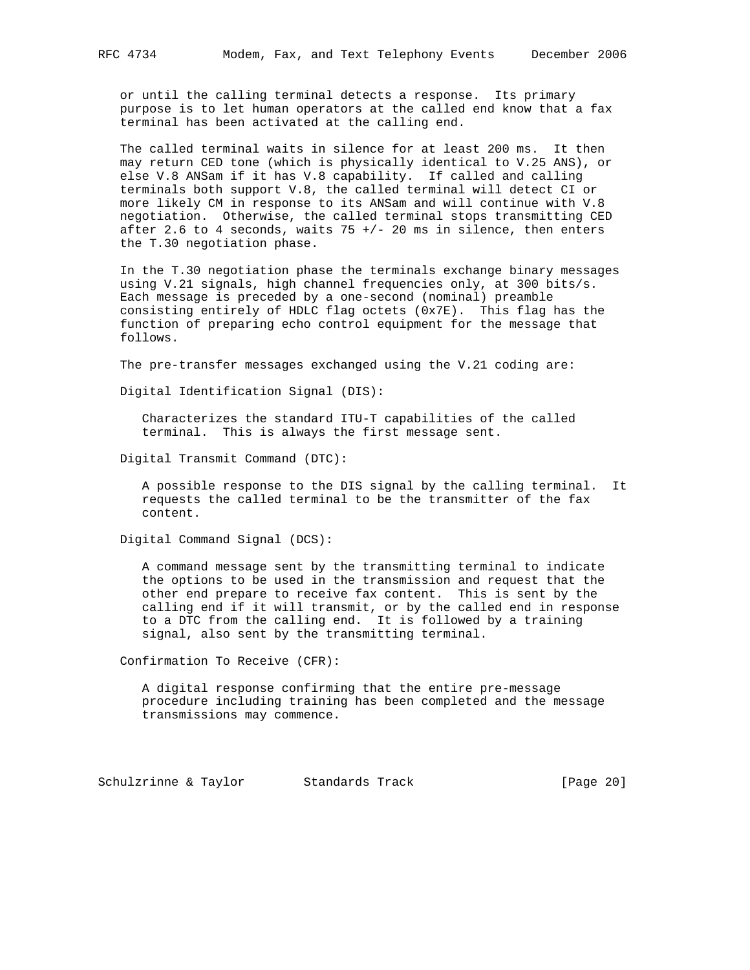or until the calling terminal detects a response. Its primary purpose is to let human operators at the called end know that a fax terminal has been activated at the calling end.

 The called terminal waits in silence for at least 200 ms. It then may return CED tone (which is physically identical to V.25 ANS), or else V.8 ANSam if it has V.8 capability. If called and calling terminals both support V.8, the called terminal will detect CI or more likely CM in response to its ANSam and will continue with V.8 negotiation. Otherwise, the called terminal stops transmitting CED after 2.6 to 4 seconds, waits  $75 + / - 20$  ms in silence, then enters the T.30 negotiation phase.

 In the T.30 negotiation phase the terminals exchange binary messages using V.21 signals, high channel frequencies only, at 300 bits/s. Each message is preceded by a one-second (nominal) preamble consisting entirely of HDLC flag octets (0x7E). This flag has the function of preparing echo control equipment for the message that follows.

The pre-transfer messages exchanged using the V.21 coding are:

Digital Identification Signal (DIS):

 Characterizes the standard ITU-T capabilities of the called terminal. This is always the first message sent.

Digital Transmit Command (DTC):

 A possible response to the DIS signal by the calling terminal. It requests the called terminal to be the transmitter of the fax content.

Digital Command Signal (DCS):

 A command message sent by the transmitting terminal to indicate the options to be used in the transmission and request that the other end prepare to receive fax content. This is sent by the calling end if it will transmit, or by the called end in response to a DTC from the calling end. It is followed by a training signal, also sent by the transmitting terminal.

Confirmation To Receive (CFR):

 A digital response confirming that the entire pre-message procedure including training has been completed and the message transmissions may commence.

Schulzrinne & Taylor Standards Track [Page 20]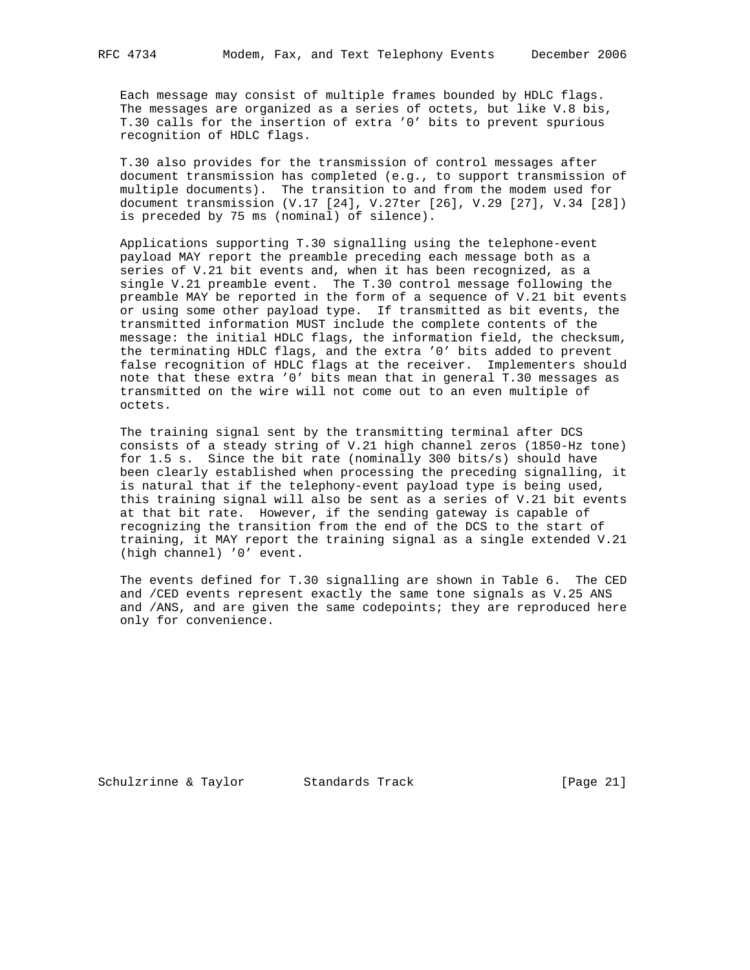Each message may consist of multiple frames bounded by HDLC flags. The messages are organized as a series of octets, but like V.8 bis, T.30 calls for the insertion of extra '0' bits to prevent spurious

 T.30 also provides for the transmission of control messages after document transmission has completed (e.g., to support transmission of multiple documents). The transition to and from the modem used for document transmission (V.17 [24], V.27ter [26], V.29 [27], V.34 [28]) is preceded by 75 ms (nominal) of silence).

 Applications supporting T.30 signalling using the telephone-event payload MAY report the preamble preceding each message both as a series of V.21 bit events and, when it has been recognized, as a single V.21 preamble event. The T.30 control message following the preamble MAY be reported in the form of a sequence of V.21 bit events or using some other payload type. If transmitted as bit events, the transmitted information MUST include the complete contents of the message: the initial HDLC flags, the information field, the checksum, the terminating HDLC flags, and the extra '0' bits added to prevent false recognition of HDLC flags at the receiver. Implementers should note that these extra '0' bits mean that in general T.30 messages as transmitted on the wire will not come out to an even multiple of octets.

 The training signal sent by the transmitting terminal after DCS consists of a steady string of V.21 high channel zeros (1850-Hz tone) for 1.5 s. Since the bit rate (nominally 300 bits/s) should have been clearly established when processing the preceding signalling, it is natural that if the telephony-event payload type is being used, this training signal will also be sent as a series of V.21 bit events at that bit rate. However, if the sending gateway is capable of recognizing the transition from the end of the DCS to the start of training, it MAY report the training signal as a single extended V.21 (high channel) '0' event.

 The events defined for T.30 signalling are shown in Table 6. The CED and /CED events represent exactly the same tone signals as V.25 ANS and /ANS, and are given the same codepoints; they are reproduced here only for convenience.

Schulzrinne & Taylor Standards Track [Page 21]

recognition of HDLC flags.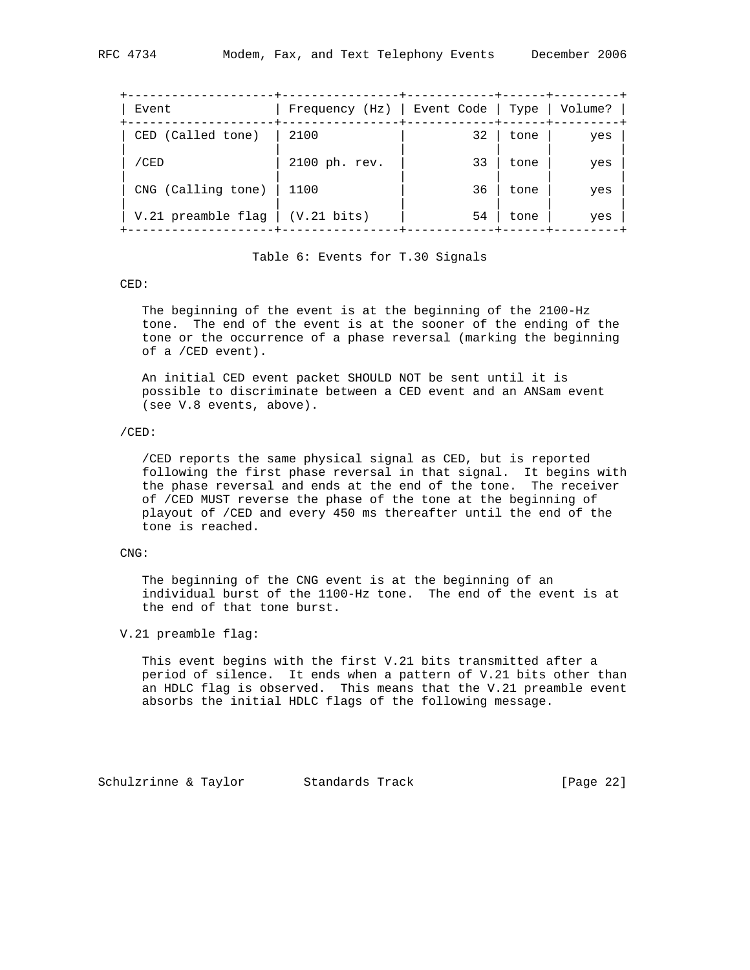| Frequency (Hz)   Event Code   Type   Volume? |
|----------------------------------------------|
| yes                                          |
| yes                                          |
| yes                                          |
| yes                                          |
|                                              |

## Table 6: Events for T.30 Signals

#### CED:

 The beginning of the event is at the beginning of the 2100-Hz tone. The end of the event is at the sooner of the ending of the tone or the occurrence of a phase reversal (marking the beginning of a /CED event).

 An initial CED event packet SHOULD NOT be sent until it is possible to discriminate between a CED event and an ANSam event (see V.8 events, above).

## /CED:

 /CED reports the same physical signal as CED, but is reported following the first phase reversal in that signal. It begins with the phase reversal and ends at the end of the tone. The receiver of /CED MUST reverse the phase of the tone at the beginning of playout of /CED and every 450 ms thereafter until the end of the tone is reached.

## CNG:

 The beginning of the CNG event is at the beginning of an individual burst of the 1100-Hz tone. The end of the event is at the end of that tone burst.

### V.21 preamble flag:

 This event begins with the first V.21 bits transmitted after a period of silence. It ends when a pattern of V.21 bits other than an HDLC flag is observed. This means that the V.21 preamble event absorbs the initial HDLC flags of the following message.

Schulzrinne & Taylor Standards Track [Page 22]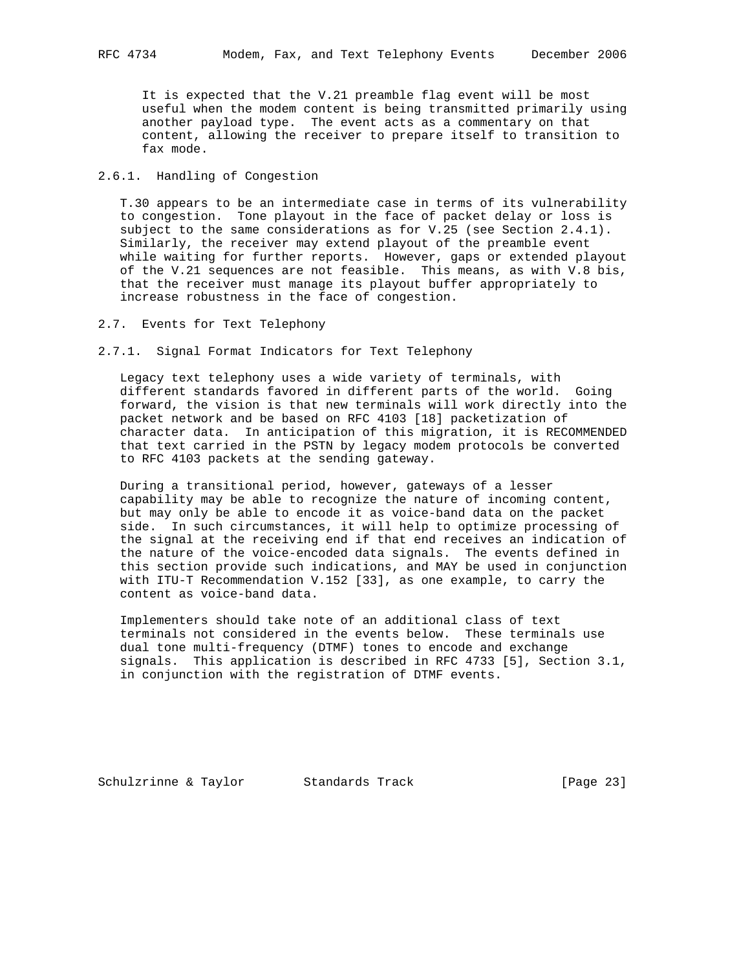It is expected that the V.21 preamble flag event will be most useful when the modem content is being transmitted primarily using another payload type. The event acts as a commentary on that content, allowing the receiver to prepare itself to transition to

#### 2.6.1. Handling of Congestion

fax mode.

 T.30 appears to be an intermediate case in terms of its vulnerability to congestion. Tone playout in the face of packet delay or loss is subject to the same considerations as for V.25 (see Section 2.4.1). Similarly, the receiver may extend playout of the preamble event while waiting for further reports. However, gaps or extended playout of the V.21 sequences are not feasible. This means, as with V.8 bis, that the receiver must manage its playout buffer appropriately to increase robustness in the face of congestion.

- 2.7. Events for Text Telephony
- 2.7.1. Signal Format Indicators for Text Telephony

 Legacy text telephony uses a wide variety of terminals, with different standards favored in different parts of the world. Going forward, the vision is that new terminals will work directly into the packet network and be based on RFC 4103 [18] packetization of character data. In anticipation of this migration, it is RECOMMENDED that text carried in the PSTN by legacy modem protocols be converted to RFC 4103 packets at the sending gateway.

 During a transitional period, however, gateways of a lesser capability may be able to recognize the nature of incoming content, but may only be able to encode it as voice-band data on the packet side. In such circumstances, it will help to optimize processing of the signal at the receiving end if that end receives an indication of the nature of the voice-encoded data signals. The events defined in this section provide such indications, and MAY be used in conjunction with ITU-T Recommendation V.152 [33], as one example, to carry the content as voice-band data.

 Implementers should take note of an additional class of text terminals not considered in the events below. These terminals use dual tone multi-frequency (DTMF) tones to encode and exchange signals. This application is described in RFC 4733 [5], Section 3.1, in conjunction with the registration of DTMF events.

Schulzrinne & Taylor Standards Track (Page 23)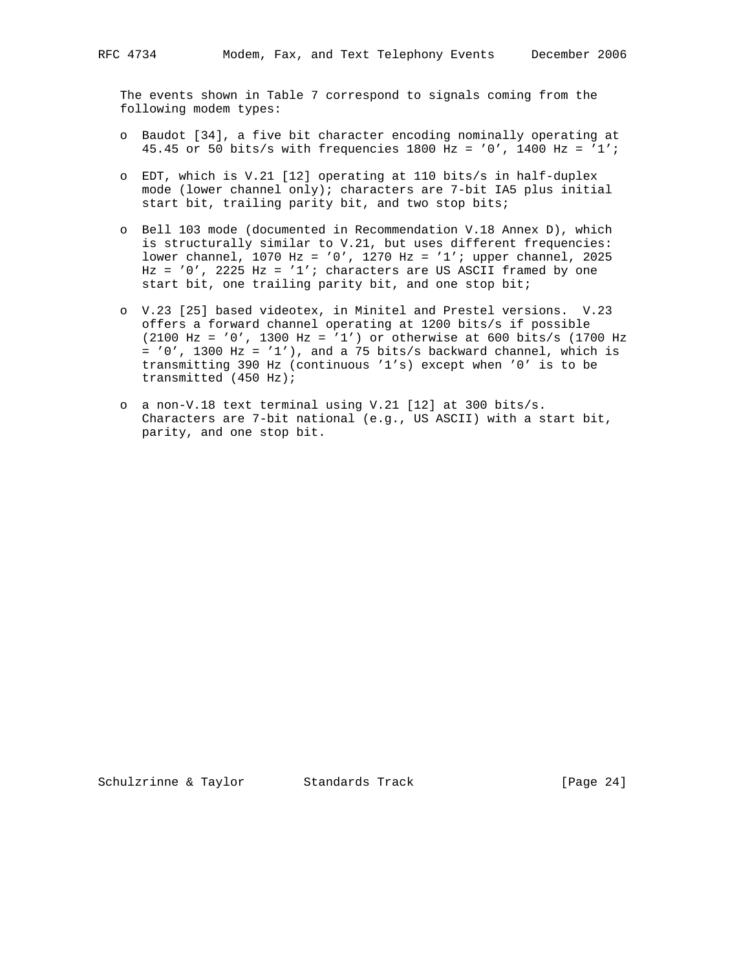The events shown in Table 7 correspond to signals coming from the following modem types:

- o Baudot [34], a five bit character encoding nominally operating at 45.45 or 50 bits/s with frequencies 1800 Hz = '0', 1400 Hz = '1';
- o EDT, which is V.21 [12] operating at 110 bits/s in half-duplex mode (lower channel only); characters are 7-bit IA5 plus initial start bit, trailing parity bit, and two stop bits;
- o Bell 103 mode (documented in Recommendation V.18 Annex D), which is structurally similar to V.21, but uses different frequencies: lower channel, 1070 Hz = '0', 1270 Hz = '1'; upper channel, 2025  $Hz = '0', 2225 Hz = '1';$  characters are US ASCII framed by one start bit, one trailing parity bit, and one stop bit;
- o V.23 [25] based videotex, in Minitel and Prestel versions. V.23 offers a forward channel operating at 1200 bits/s if possible (2100 Hz = '0', 1300 Hz = '1') or otherwise at 600 bits/s (1700 Hz  $= '0', 1300 Hz = '1'),$  and a 75 bits/s backward channel, which is transmitting 390 Hz (continuous '1's) except when '0' is to be transmitted (450 Hz);
- o a non-V.18 text terminal using V.21 [12] at 300 bits/s. Characters are 7-bit national (e.g., US ASCII) with a start bit, parity, and one stop bit.

Schulzrinne & Taylor Standards Track [Page 24]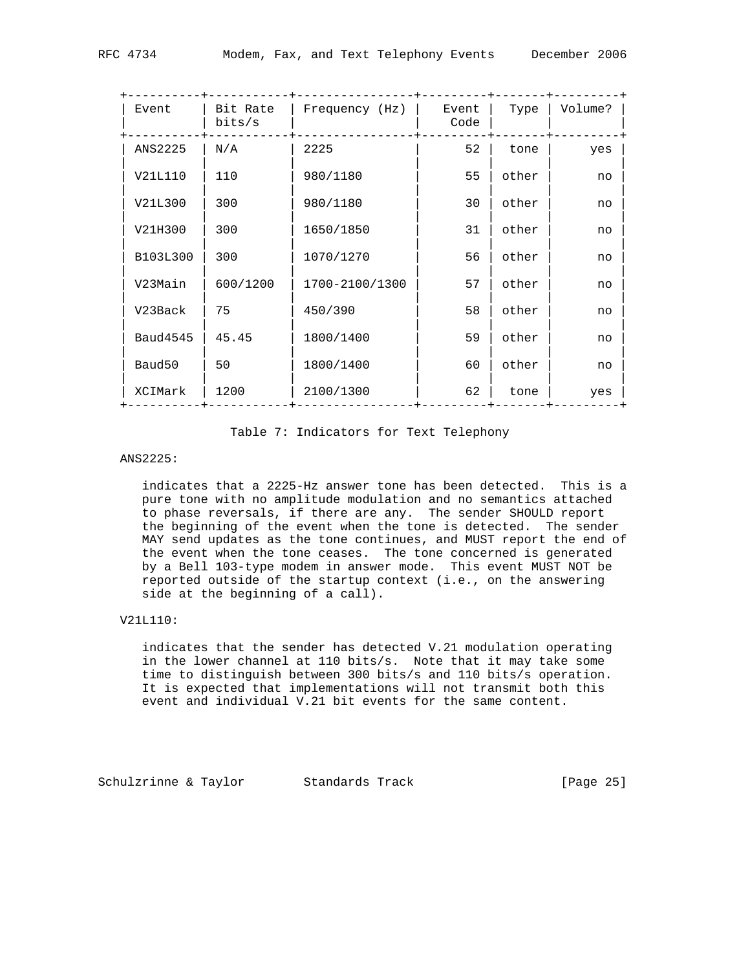| Event              | Bit Rate<br>bits/s | Frequency (Hz) | Event<br>Code | Type  | Volume? |
|--------------------|--------------------|----------------|---------------|-------|---------|
| ANS2225            | N/A                | 2225           | 52            | tone  | yes     |
| V21L110            | 110                | 980/1180       | 55            | other | no      |
| V21L300            | 300                | 980/1180       | 30            | other | no      |
| V21H300            | 300                | 1650/1850      | 31            | other | no      |
| B103L300           | 300                | 1070/1270      | 56            | other | no      |
| V23Main            | 600/1200           | 1700-2100/1300 | 57            | other | no      |
| V23Back            | 75                 | 450/390        | 58            | other | no      |
| <b>Baud4545</b>    | 45.45              | 1800/1400      | 59            | other | no      |
| Baud <sub>50</sub> | 50                 | 1800/1400      | 60            | other | no      |
| XCIMark            | 1200               | 2100/1300      | 62            | tone  | yes     |
|                    |                    |                |               |       |         |

#### Table 7: Indicators for Text Telephony

## ANS2225:

 indicates that a 2225-Hz answer tone has been detected. This is a pure tone with no amplitude modulation and no semantics attached to phase reversals, if there are any. The sender SHOULD report the beginning of the event when the tone is detected. The sender MAY send updates as the tone continues, and MUST report the end of the event when the tone ceases. The tone concerned is generated by a Bell 103-type modem in answer mode. This event MUST NOT be reported outside of the startup context (i.e., on the answering side at the beginning of a call).

### V21L110:

 indicates that the sender has detected V.21 modulation operating in the lower channel at 110 bits/s. Note that it may take some time to distinguish between 300 bits/s and 110 bits/s operation. It is expected that implementations will not transmit both this event and individual V.21 bit events for the same content.

Schulzrinne & Taylor Standards Track [Page 25]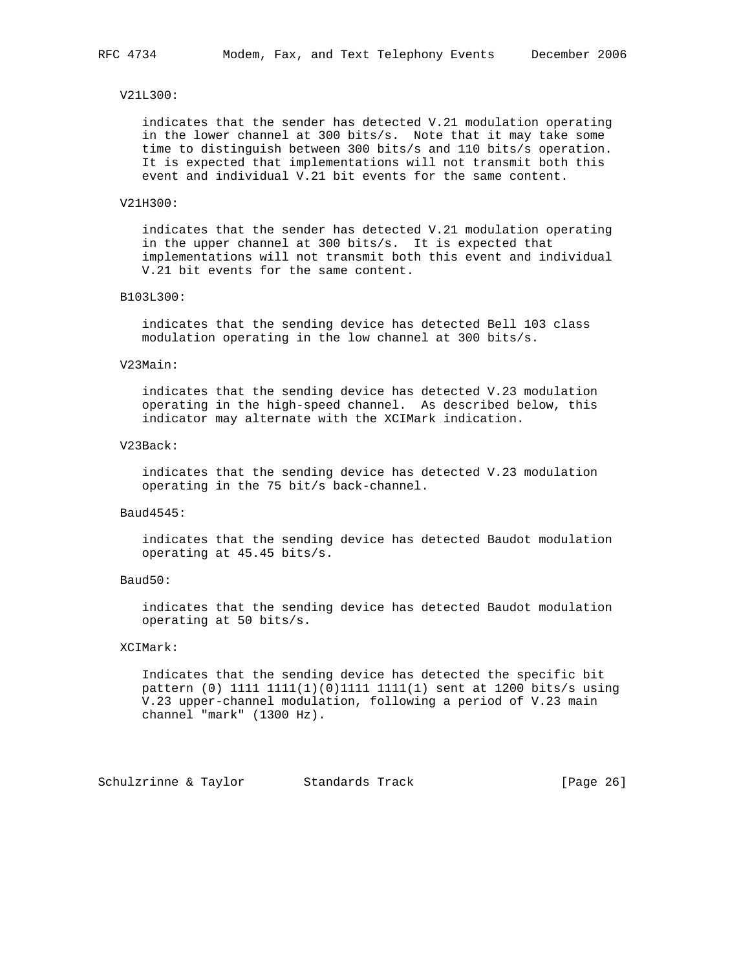#### V21L300:

 indicates that the sender has detected V.21 modulation operating in the lower channel at 300 bits/s. Note that it may take some time to distinguish between 300 bits/s and 110 bits/s operation. It is expected that implementations will not transmit both this event and individual V.21 bit events for the same content.

### V21H300:

 indicates that the sender has detected V.21 modulation operating in the upper channel at 300 bits/s. It is expected that implementations will not transmit both this event and individual V.21 bit events for the same content.

#### B103L300:

 indicates that the sending device has detected Bell 103 class modulation operating in the low channel at 300 bits/s.

#### V23Main:

 indicates that the sending device has detected V.23 modulation operating in the high-speed channel. As described below, this indicator may alternate with the XCIMark indication.

#### V23Back:

 indicates that the sending device has detected V.23 modulation operating in the 75 bit/s back-channel.

### Baud4545:

 indicates that the sending device has detected Baudot modulation operating at 45.45 bits/s.

### Baud50:

 indicates that the sending device has detected Baudot modulation operating at 50 bits/s.

#### XCIMark:

 Indicates that the sending device has detected the specific bit pattern (0) 1111 1111(1)(0)1111 1111(1) sent at 1200 bits/s using V.23 upper-channel modulation, following a period of V.23 main channel "mark" (1300 Hz).

Schulzrinne & Taylor Standards Track [Page 26]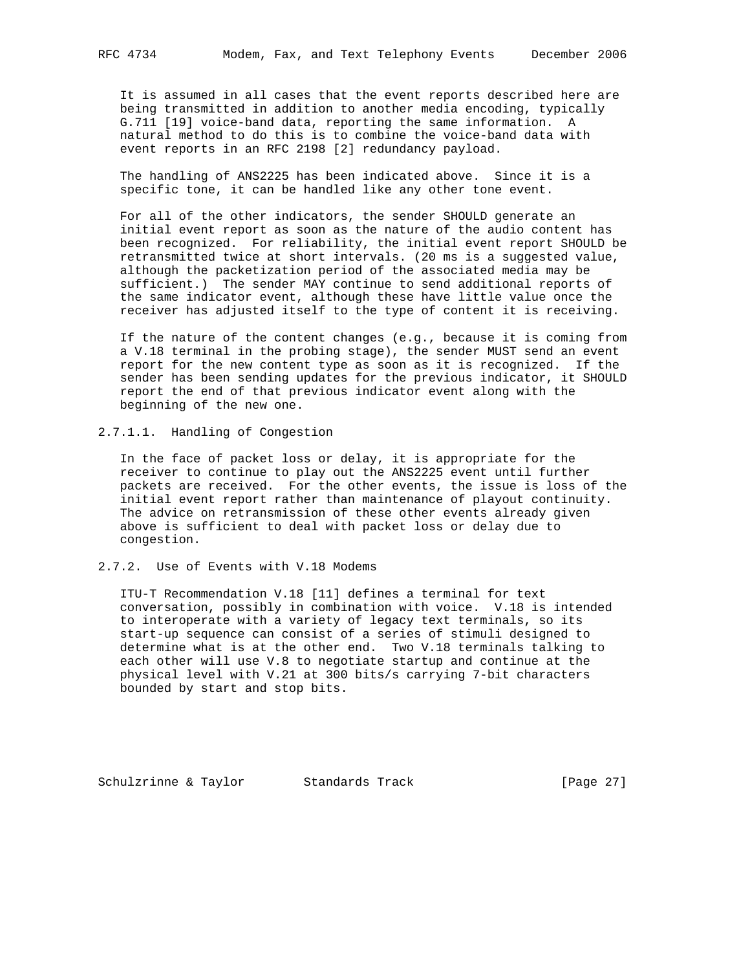It is assumed in all cases that the event reports described here are being transmitted in addition to another media encoding, typically G.711 [19] voice-band data, reporting the same information. A natural method to do this is to combine the voice-band data with event reports in an RFC 2198 [2] redundancy payload.

 The handling of ANS2225 has been indicated above. Since it is a specific tone, it can be handled like any other tone event.

 For all of the other indicators, the sender SHOULD generate an initial event report as soon as the nature of the audio content has been recognized. For reliability, the initial event report SHOULD be retransmitted twice at short intervals. (20 ms is a suggested value, although the packetization period of the associated media may be sufficient.) The sender MAY continue to send additional reports of the same indicator event, although these have little value once the receiver has adjusted itself to the type of content it is receiving.

 If the nature of the content changes (e.g., because it is coming from a V.18 terminal in the probing stage), the sender MUST send an event report for the new content type as soon as it is recognized. If the sender has been sending updates for the previous indicator, it SHOULD report the end of that previous indicator event along with the beginning of the new one.

2.7.1.1. Handling of Congestion

 In the face of packet loss or delay, it is appropriate for the receiver to continue to play out the ANS2225 event until further packets are received. For the other events, the issue is loss of the initial event report rather than maintenance of playout continuity. The advice on retransmission of these other events already given above is sufficient to deal with packet loss or delay due to congestion.

## 2.7.2. Use of Events with V.18 Modems

 ITU-T Recommendation V.18 [11] defines a terminal for text conversation, possibly in combination with voice. V.18 is intended to interoperate with a variety of legacy text terminals, so its start-up sequence can consist of a series of stimuli designed to determine what is at the other end. Two V.18 terminals talking to each other will use V.8 to negotiate startup and continue at the physical level with V.21 at 300 bits/s carrying 7-bit characters bounded by start and stop bits.

Schulzrinne & Taylor Standards Track [Page 27]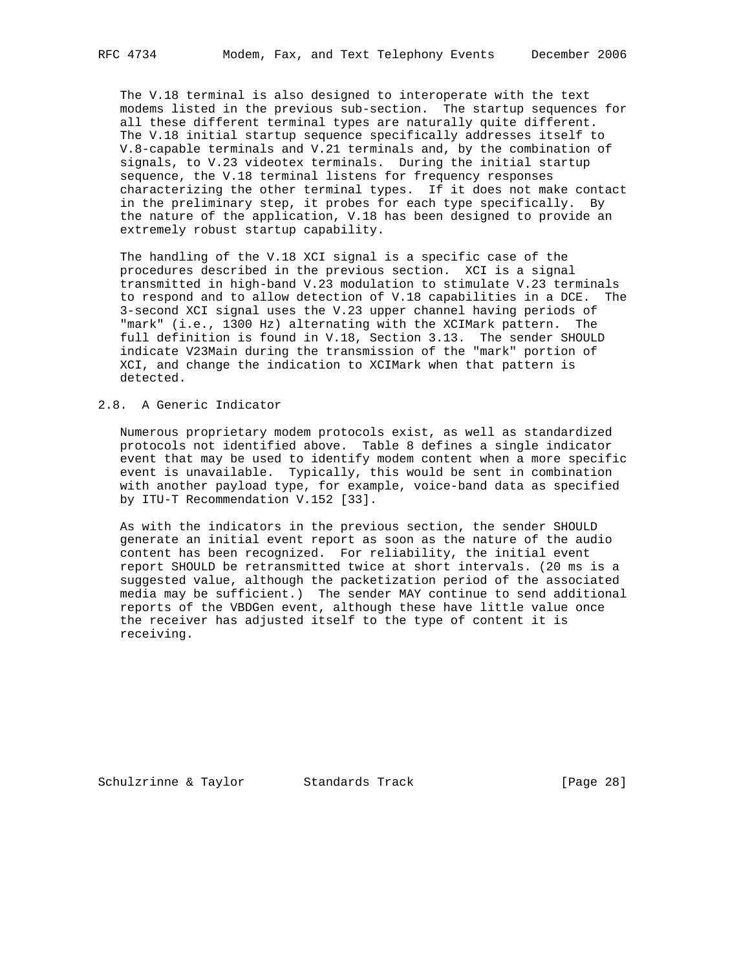The V.18 terminal is also designed to interoperate with the text modems listed in the previous sub-section. The startup sequences for all these different terminal types are naturally quite different. The V.18 initial startup sequence specifically addresses itself to V.8-capable terminals and V.21 terminals and, by the combination of signals, to V.23 videotex terminals. During the initial startup sequence, the V.18 terminal listens for frequency responses characterizing the other terminal types. If it does not make contact in the preliminary step, it probes for each type specifically. By the nature of the application, V.18 has been designed to provide an extremely robust startup capability.

 The handling of the V.18 XCI signal is a specific case of the procedures described in the previous section. XCI is a signal transmitted in high-band V.23 modulation to stimulate V.23 terminals to respond and to allow detection of V.18 capabilities in a DCE. The 3-second XCI signal uses the V.23 upper channel having periods of "mark" (i.e., 1300 Hz) alternating with the XCIMark pattern. The full definition is found in V.18, Section 3.13. The sender SHOULD indicate V23Main during the transmission of the "mark" portion of XCI, and change the indication to XCIMark when that pattern is detected.

## 2.8. A Generic Indicator

 Numerous proprietary modem protocols exist, as well as standardized protocols not identified above. Table 8 defines a single indicator event that may be used to identify modem content when a more specific event is unavailable. Typically, this would be sent in combination with another payload type, for example, voice-band data as specified by ITU-T Recommendation V.152 [33].

 As with the indicators in the previous section, the sender SHOULD generate an initial event report as soon as the nature of the audio content has been recognized. For reliability, the initial event report SHOULD be retransmitted twice at short intervals. (20 ms is a suggested value, although the packetization period of the associated media may be sufficient.) The sender MAY continue to send additional reports of the VBDGen event, although these have little value once the receiver has adjusted itself to the type of content it is receiving.

Schulzrinne & Taylor Standards Track [Page 28]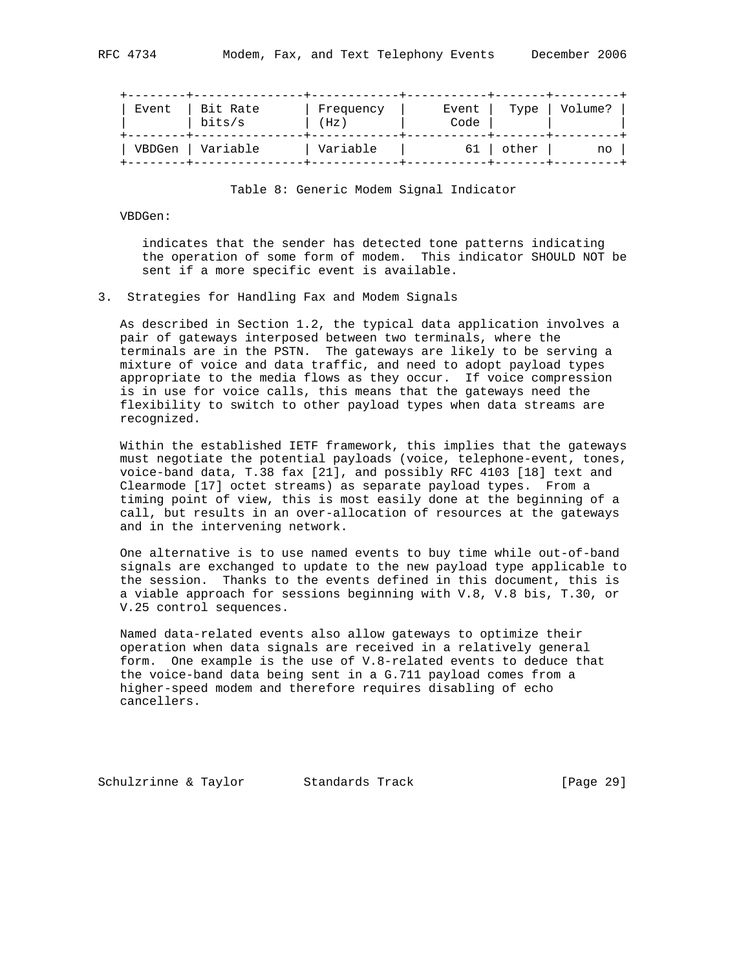| 41.J4 | Modell, rax, |  |
|-------|--------------|--|
|       |              |  |
|       |              |  |

| Event | Bit Rate<br>bits/s | Frequency<br>(Hz) | Event<br>Code | Type  | Volume? |
|-------|--------------------|-------------------|---------------|-------|---------|
|       | VBDGen   Variable  | Variable          | 61            | other | no      |

#### Table 8: Generic Modem Signal Indicator

### VBDGen:

 indicates that the sender has detected tone patterns indicating the operation of some form of modem. This indicator SHOULD NOT be sent if a more specific event is available.

3. Strategies for Handling Fax and Modem Signals

 As described in Section 1.2, the typical data application involves a pair of gateways interposed between two terminals, where the terminals are in the PSTN. The gateways are likely to be serving a mixture of voice and data traffic, and need to adopt payload types appropriate to the media flows as they occur. If voice compression is in use for voice calls, this means that the gateways need the flexibility to switch to other payload types when data streams are recognized.

 Within the established IETF framework, this implies that the gateways must negotiate the potential payloads (voice, telephone-event, tones, voice-band data, T.38 fax [21], and possibly RFC 4103 [18] text and Clearmode [17] octet streams) as separate payload types. From a timing point of view, this is most easily done at the beginning of a call, but results in an over-allocation of resources at the gateways and in the intervening network.

 One alternative is to use named events to buy time while out-of-band signals are exchanged to update to the new payload type applicable to the session. Thanks to the events defined in this document, this is a viable approach for sessions beginning with V.8, V.8 bis, T.30, or V.25 control sequences.

 Named data-related events also allow gateways to optimize their operation when data signals are received in a relatively general form. One example is the use of V.8-related events to deduce that the voice-band data being sent in a G.711 payload comes from a higher-speed modem and therefore requires disabling of echo cancellers.

Schulzrinne & Taylor Standards Track [Page 29]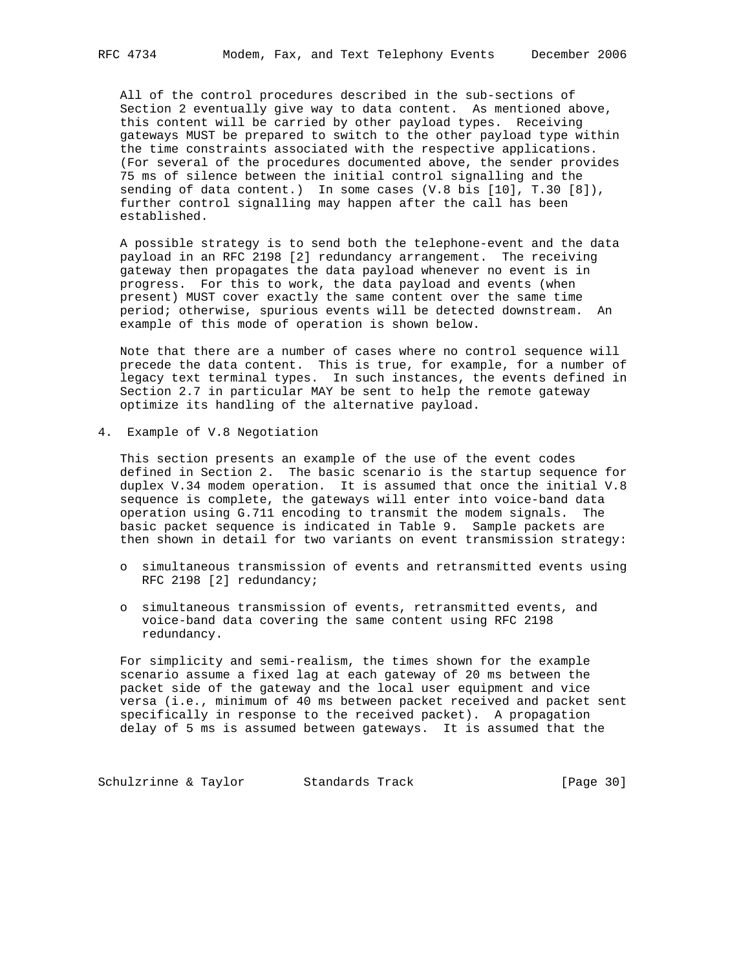All of the control procedures described in the sub-sections of Section 2 eventually give way to data content. As mentioned above, this content will be carried by other payload types. Receiving gateways MUST be prepared to switch to the other payload type within the time constraints associated with the respective applications. (For several of the procedures documented above, the sender provides 75 ms of silence between the initial control signalling and the sending of data content.) In some cases (V.8 bis [10], T.30 [8]), further control signalling may happen after the call has been established.

 A possible strategy is to send both the telephone-event and the data payload in an RFC 2198 [2] redundancy arrangement. The receiving gateway then propagates the data payload whenever no event is in progress. For this to work, the data payload and events (when present) MUST cover exactly the same content over the same time period; otherwise, spurious events will be detected downstream. An example of this mode of operation is shown below.

 Note that there are a number of cases where no control sequence will precede the data content. This is true, for example, for a number of legacy text terminal types. In such instances, the events defined in Section 2.7 in particular MAY be sent to help the remote gateway optimize its handling of the alternative payload.

4. Example of V.8 Negotiation

 This section presents an example of the use of the event codes defined in Section 2. The basic scenario is the startup sequence for duplex V.34 modem operation. It is assumed that once the initial V.8 sequence is complete, the gateways will enter into voice-band data operation using G.711 encoding to transmit the modem signals. The basic packet sequence is indicated in Table 9. Sample packets are then shown in detail for two variants on event transmission strategy:

- o simultaneous transmission of events and retransmitted events using RFC 2198 [2] redundancy;
- o simultaneous transmission of events, retransmitted events, and voice-band data covering the same content using RFC 2198 redundancy.

 For simplicity and semi-realism, the times shown for the example scenario assume a fixed lag at each gateway of 20 ms between the packet side of the gateway and the local user equipment and vice versa (i.e., minimum of 40 ms between packet received and packet sent specifically in response to the received packet). A propagation delay of 5 ms is assumed between gateways. It is assumed that the

Schulzrinne & Taylor Standards Track [Page 30]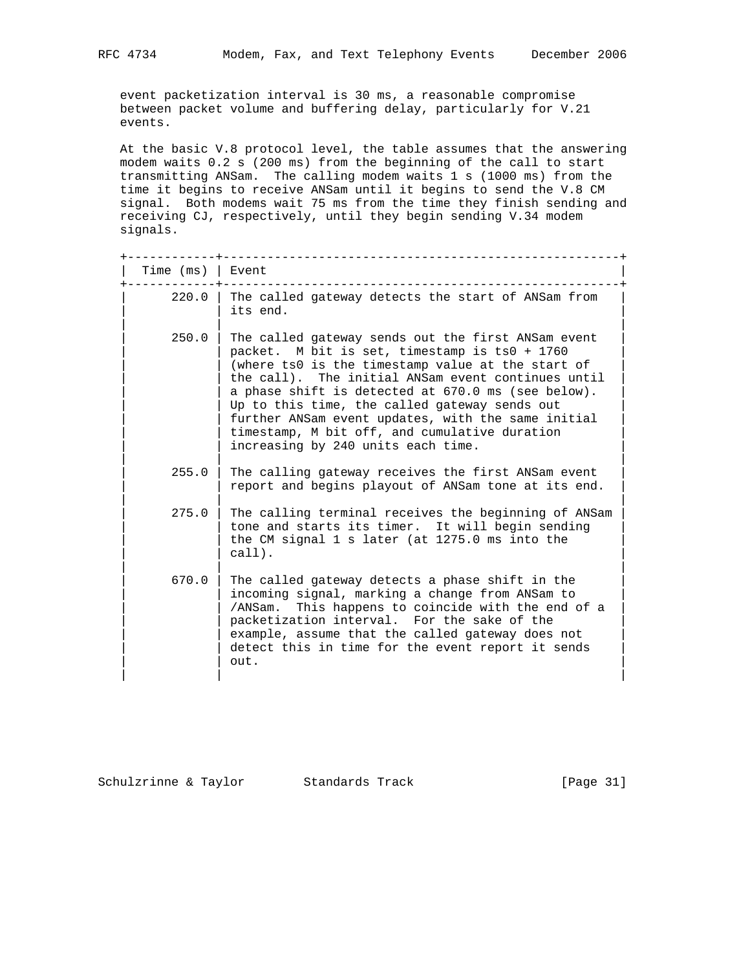event packetization interval is 30 ms, a reasonable compromise between packet volume and buffering delay, particularly for V.21 events.

 At the basic V.8 protocol level, the table assumes that the answering modem waits 0.2 s (200 ms) from the beginning of the call to start transmitting ANSam. The calling modem waits 1 s (1000 ms) from the time it begins to receive ANSam until it begins to send the V.8 CM signal. Both modems wait 75 ms from the time they finish sending and receiving CJ, respectively, until they begin sending V.34 modem signals.

| Time (ms) | Event                                                                                                                                                                                                                                                                                                                                                                                                                                                              |
|-----------|--------------------------------------------------------------------------------------------------------------------------------------------------------------------------------------------------------------------------------------------------------------------------------------------------------------------------------------------------------------------------------------------------------------------------------------------------------------------|
| 220.0     | The called gateway detects the start of ANSam from<br>its end.                                                                                                                                                                                                                                                                                                                                                                                                     |
| 250.0     | The called gateway sends out the first ANSam event<br>packet. M bit is set, timestamp is ts0 + 1760<br>(where ts0 is the timestamp value at the start of<br>the call). The initial ANSam event continues until<br>a phase shift is detected at 670.0 ms (see below).<br>Up to this time, the called gateway sends out<br>further ANSam event updates, with the same initial<br>timestamp, M bit off, and cumulative duration<br>increasing by 240 units each time. |
| 255.0     | The calling gateway receives the first ANSam event<br>report and begins playout of ANSam tone at its end.                                                                                                                                                                                                                                                                                                                                                          |
| 275.0     | The calling terminal receives the beginning of ANSam<br>tone and starts its timer. It will begin sending<br>the CM signal 1 s later (at 1275.0 ms into the<br>call).                                                                                                                                                                                                                                                                                               |
| 670.0     | The called gateway detects a phase shift in the<br>incoming signal, marking a change from ANSam to<br>This happens to coincide with the end of a<br>/ANSam.<br>packetization interval. For the sake of the<br>example, assume that the called gateway does not<br>detect this in time for the event report it sends<br>out.                                                                                                                                        |

Schulzrinne & Taylor Standards Track [Page 31]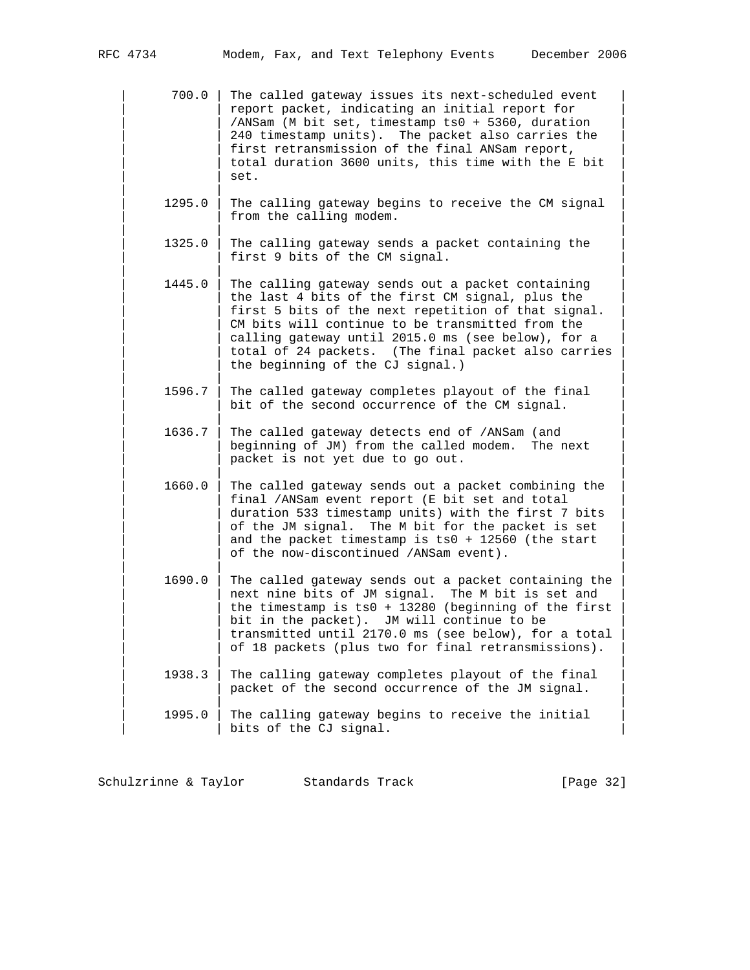| 700.0 | The called gateway issues its next-scheduled event | report packet, indicating an initial report for /ANSam (M bit set, timestamp ts0 + 5360, duration 240 timestamp units). The packet also carries the first retransmission of the final ANSam report, total duration 3600 units, this time with the E bit  $\vert$  set.  $\vert$ 

> $1295.0$  | The calling gateway begins to receive the CM signal from the calling modem.

| | |

| | |

| | |

- 1325.0 | The calling gateway sends a packet containing the first 9 bits of the CM signal.
- 1445.0 | The calling gateway sends out a packet containing the last 4 bits of the first CM signal, plus the first 5 bits of the next repetition of that signal. CM bits will continue to be transmitted from the calling gateway until 2015.0 ms (see below), for a total of 24 packets. (The final packet also carries the beginning of the CJ signal.)
- $1596.7$  | The called gateway completes playout of the final bit of the second occurrence of the CM signal.

| | |

| | |

| | |

| | |

- 1636.7 | The called gateway detects end of /ANSam (and beginning of JM) from the called modem. The next packet is not yet due to go out.
- $1660.0$  | The called gateway sends out a packet combining the final /ANSam event report (E bit set and total duration 533 timestamp units) with the first 7 bits of the JM signal. The M bit for the packet is set and the packet timestamp is ts0 + 12560 (the start of the now-discontinued /ANSam event).
- $1690.0$  | The called gateway sends out a packet containing the next nine bits of JM signal. The M bit is set and the timestamp is ts0 + 13280 (beginning of the first bit in the packet). JM will continue to be transmitted until 2170.0 ms (see below), for a total of 18 packets (plus two for final retransmissions). | | |
- $1938.3$  | The calling gateway completes playout of the final packet of the second occurrence of the JM signal. | | |
	- $1995.0$  | The calling gateway begins to receive the initial | bits of the CJ signal.

Schulzrinne & Taylor Standards Track [Page 32]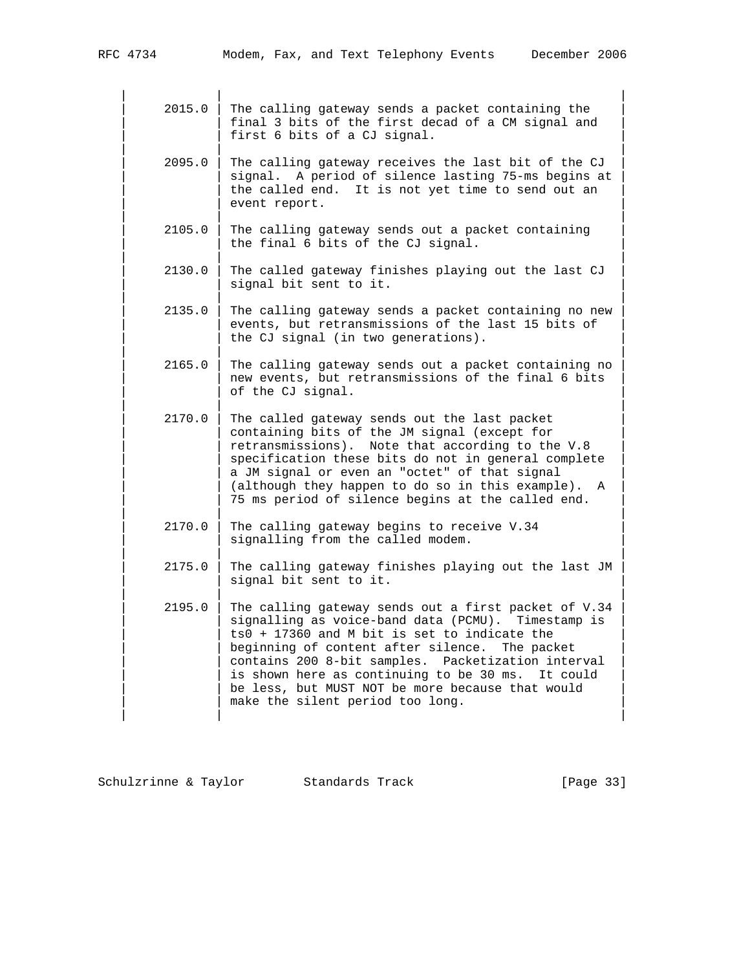| | |  $2015.0$  | The calling gateway sends a packet containing the final 3 bits of the first decad of a CM signal and first 6 bits of a CJ signal. | | |  $2095.0$  | The calling gateway receives the last bit of the CJ signal. A period of silence lasting 75-ms begins at the called end. It is not yet time to send out an event report. | | |  $2105.0$  | The calling gateway sends out a packet containing the final 6 bits of the CJ signal. | | |  $2130.0$  | The called gateway finishes playing out the last CJ signal bit sent to it. | | |  $2135.0$  | The calling gateway sends a packet containing no new events, but retransmissions of the last 15 bits of the CJ signal (in two generations). | | |  $2165.0$  | The calling gateway sends out a packet containing no new events, but retransmissions of the final 6 bits of the CJ signal. | | | 2170.0 | The called gateway sends out the last packet containing bits of the JM signal (except for retransmissions). Note that according to the V.8 specification these bits do not in general complete a JM signal or even an "octet" of that signal (although they happen to do so in this example). A 75 ms period of silence begins at the called end. | | |  $2170.0$  | The calling gateway begins to receive V.34 signalling from the called modem. | | | | 2175.0 | The calling gateway finishes playing out the last JM | signal bit sent to it. | | | | 2195.0 | The calling gateway sends out a first packet of V.34 | signalling as voice-band data (PCMU). Timestamp is  $ts0 + 17360$  and M bit is set to indicate the beginning of content after silence. The packet contains 200 8-bit samples. Packetization interval is shown here as continuing to be 30 ms. It could be less, but MUST NOT be more because that would make the silent period too long. | | |

Schulzrinne & Taylor Standards Track [Page 33]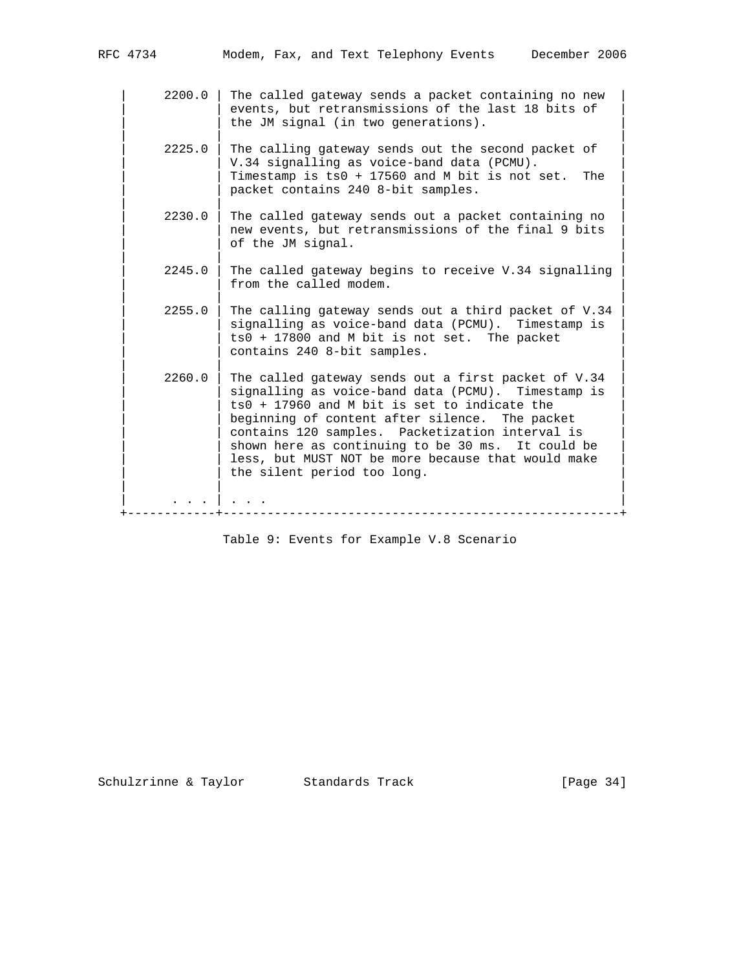| | |

| | |

| | |

| | |

- 2200.0 | The called gateway sends a packet containing no new events, but retransmissions of the last 18 bits of the JM signal (in two generations).
- $2225.0$  | The calling gateway sends out the second packet of V.34 signalling as voice-band data (PCMU). Timestamp is  $ts0 + 17560$  and M bit is not set. The packet contains 240 8-bit samples.
- | | |  $2230.0$  | The called gateway sends out a packet containing no new events, but retransmissions of the final 9 bits of the JM signal.
	- $2245.0$  | The called gateway begins to receive V.34 signalling from the called modem.
	- $2255.0$  | The calling gateway sends out a third packet of V.34 signalling as voice-band data (PCMU). Timestamp is  $ts0 + 17800$  and M bit is not set. The packet contains 240 8-bit samples.
- $2260.0$  | The called gateway sends out a first packet of V.34 signalling as voice-band data (PCMU). Timestamp is  $ts0 + 17960$  and M bit is set to indicate the beginning of content after silence. The packet contains 120 samples. Packetization interval is shown here as continuing to be 30 ms. It could be less, but MUST NOT be more because that would make the silent period too long. | | | | . . . | . . . |

+------------+------------------------------------------------------+

Table 9: Events for Example V.8 Scenario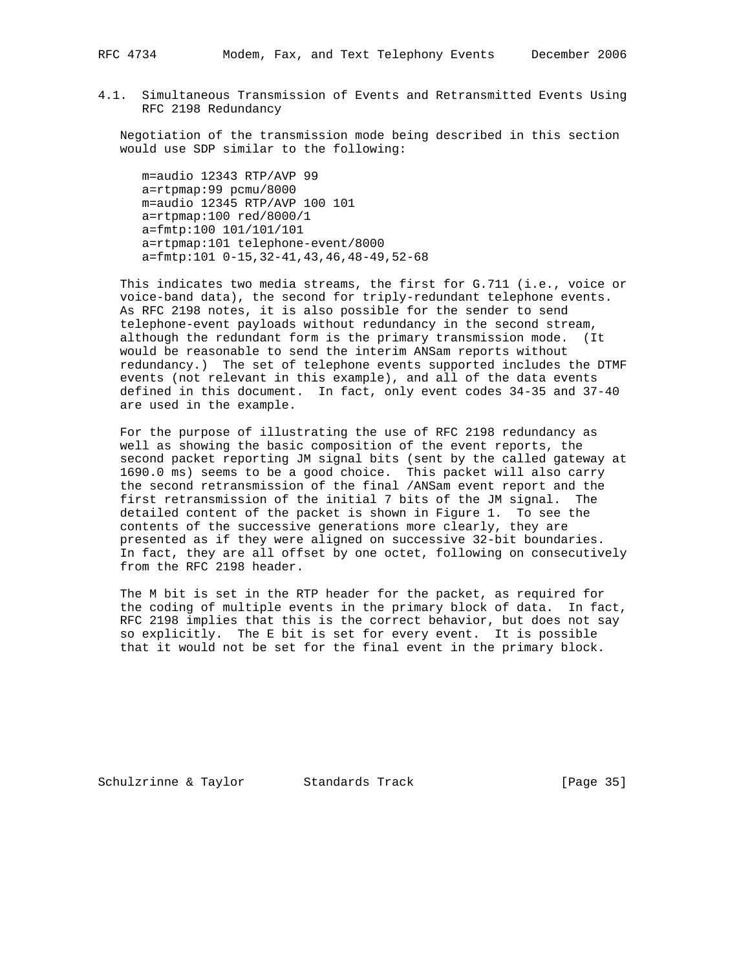4.1. Simultaneous Transmission of Events and Retransmitted Events Using RFC 2198 Redundancy

 Negotiation of the transmission mode being described in this section would use SDP similar to the following:

 m=audio 12343 RTP/AVP 99 a=rtpmap:99 pcmu/8000 m=audio 12345 RTP/AVP 100 101 a=rtpmap:100 red/8000/1 a=fmtp:100 101/101/101 a=rtpmap:101 telephone-event/8000 a=fmtp:101 0-15,32-41,43,46,48-49,52-68

 This indicates two media streams, the first for G.711 (i.e., voice or voice-band data), the second for triply-redundant telephone events. As RFC 2198 notes, it is also possible for the sender to send telephone-event payloads without redundancy in the second stream, although the redundant form is the primary transmission mode. (It would be reasonable to send the interim ANSam reports without redundancy.) The set of telephone events supported includes the DTMF events (not relevant in this example), and all of the data events defined in this document. In fact, only event codes 34-35 and 37-40 are used in the example.

 For the purpose of illustrating the use of RFC 2198 redundancy as well as showing the basic composition of the event reports, the second packet reporting JM signal bits (sent by the called gateway at 1690.0 ms) seems to be a good choice. This packet will also carry the second retransmission of the final /ANSam event report and the first retransmission of the initial 7 bits of the JM signal. The detailed content of the packet is shown in Figure 1. To see the contents of the successive generations more clearly, they are presented as if they were aligned on successive 32-bit boundaries. In fact, they are all offset by one octet, following on consecutively from the RFC 2198 header.

 The M bit is set in the RTP header for the packet, as required for the coding of multiple events in the primary block of data. In fact, RFC 2198 implies that this is the correct behavior, but does not say so explicitly. The E bit is set for every event. It is possible that it would not be set for the final event in the primary block.

Schulzrinne & Taylor Standards Track [Page 35]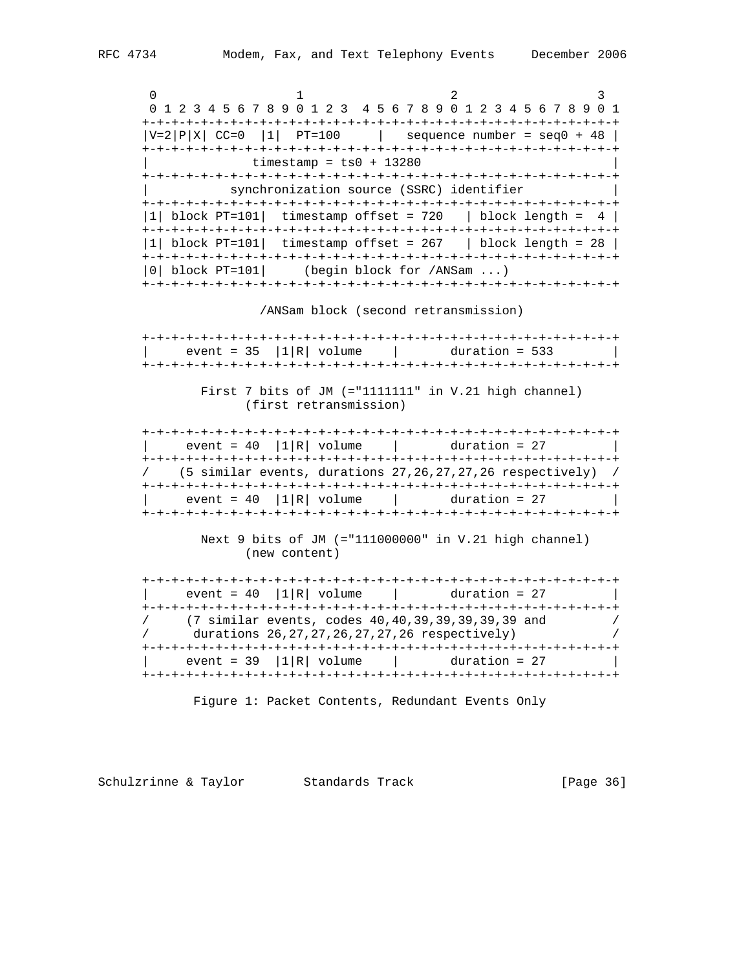0  $1$   $2$   $3$  0 1 2 3 4 5 6 7 8 9 0 1 2 3 4 5 6 7 8 9 0 1 2 3 4 5 6 7 8 9 0 1 +-+-+-+-+-+-+-+-+-+-+-+-+-+-+-+-+-+-+-+-+-+-+-+-+-+-+-+-+-+-+-+-+  $|V=2|P|X|$  CC=0  $|1|$  PT=100  $|$  sequence number = seq0 + 48 | +-+-+-+-+-+-+-+-+-+-+-+-+-+-+-+-+-+-+-+-+-+-+-+-+-+-+-+-+-+-+-+-+  $\tt$ imestamp =  $ts0 + 13280$  +-+-+-+-+-+-+-+-+-+-+-+-+-+-+-+-+-+-+-+-+-+-+-+-+-+-+-+-+-+-+-+-+ synchronization source (SSRC) identifier +-+-+-+-+-+-+-+-+-+-+-+-+-+-+-+-+-+-+-+-+-+-+-+-+-+-+-+-+-+-+-+-+ |1| block PT=101| timestamp offset = 720 | block length =  $4$  | +-+-+-+-+-+-+-+-+-+-+-+-+-+-+-+-+-+-+-+-+-+-+-+-+-+-+-+-+-+-+-+-+ |1| block PT=101| timestamp offset = 267 | block length = 28 | +-+-+-+-+-+-+-+-+-+-+-+-+-+-+-+-+-+-+-+-+-+-+-+-+-+-+-+-+-+-+-+-+ |0| block PT=101| (begin block for /ANSam ...) +-+-+-+-+-+-+-+-+-+-+-+-+-+-+-+-+-+-+-+-+-+-+-+-+-+-+-+-+-+-+-+-+ /ANSam block (second retransmission) +-+-+-+-+-+-+-+-+-+-+-+-+-+-+-+-+-+-+-+-+-+-+-+-+-+-+-+-+-+-+-+-+  $event = 35 |1|R|$  volume  $|$  duration = 533 | +-+-+-+-+-+-+-+-+-+-+-+-+-+-+-+-+-+-+-+-+-+-+-+-+-+-+-+-+-+-+-+-+ First 7 bits of JM (="1111111" in V.21 high channel) (first retransmission) +-+-+-+-+-+-+-+-+-+-+-+-+-+-+-+-+-+-+-+-+-+-+-+-+-+-+-+-+-+-+-+-+ | event =  $40$  |1|R| volume | duration =  $27$  | +-+-+-+-+-+-+-+-+-+-+-+-+-+-+-+-+-+-+-+-+-+-+-+-+-+-+-+-+-+-+-+-+ / (5 similar events, durations 27,26,27,27,26 respectively) / +-+-+-+-+-+-+-+-+-+-+-+-+-+-+-+-+-+-+-+-+-+-+-+-+-+-+-+-+-+-+-+-+  $event = 40 |1|R| volume$  | duration = 27 +-+-+-+-+-+-+-+-+-+-+-+-+-+-+-+-+-+-+-+-+-+-+-+-+-+-+-+-+-+-+-+-+ Next 9 bits of JM (="111000000" in V.21 high channel) (new content) +-+-+-+-+-+-+-+-+-+-+-+-+-+-+-+-+-+-+-+-+-+-+-+-+-+-+-+-+-+-+-+-+  $event = 40 |1|R| volume$  | duration = 27 +-+-+-+-+-+-+-+-+-+-+-+-+-+-+-+-+-+-+-+-+-+-+-+-+-+-+-+-+-+-+-+-+ / (7 similar events, codes 40,40,39,39,39,39,39 and / durations 26,27,27,26,27,27,26 respectively) +-+-+-+-+-+-+-+-+-+-+-+-+-+-+-+-+-+-+-+-+-+-+-+-+-+-+-+-+-+-+-+-+  $event = 39 |1|R|$  volume  $|$  duration = 27 +-+-+-+-+-+-+-+-+-+-+-+-+-+-+-+-+-+-+-+-+-+-+-+-+-+-+-+-+-+-+-+-+

Figure 1: Packet Contents, Redundant Events Only

Schulzrinne & Taylor Standards Track [Page 36]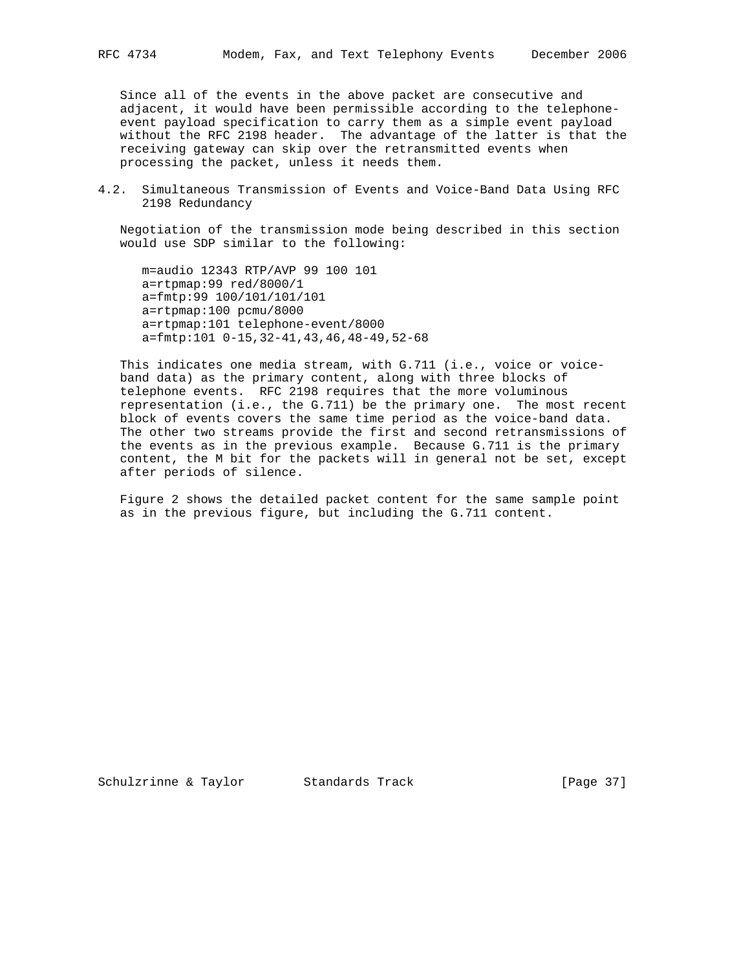Since all of the events in the above packet are consecutive and adjacent, it would have been permissible according to the telephone event payload specification to carry them as a simple event payload without the RFC 2198 header. The advantage of the latter is that the receiving gateway can skip over the retransmitted events when processing the packet, unless it needs them.

4.2. Simultaneous Transmission of Events and Voice-Band Data Using RFC 2198 Redundancy

 Negotiation of the transmission mode being described in this section would use SDP similar to the following:

 m=audio 12343 RTP/AVP 99 100 101 a=rtpmap:99 red/8000/1 a=fmtp:99 100/101/101/101 a=rtpmap:100 pcmu/8000 a=rtpmap:101 telephone-event/8000 a=fmtp:101 0-15,32-41,43,46,48-49,52-68

 This indicates one media stream, with G.711 (i.e., voice or voice band data) as the primary content, along with three blocks of telephone events. RFC 2198 requires that the more voluminous representation (i.e., the G.711) be the primary one. The most recent block of events covers the same time period as the voice-band data. The other two streams provide the first and second retransmissions of the events as in the previous example. Because G.711 is the primary content, the M bit for the packets will in general not be set, except after periods of silence.

 Figure 2 shows the detailed packet content for the same sample point as in the previous figure, but including the G.711 content.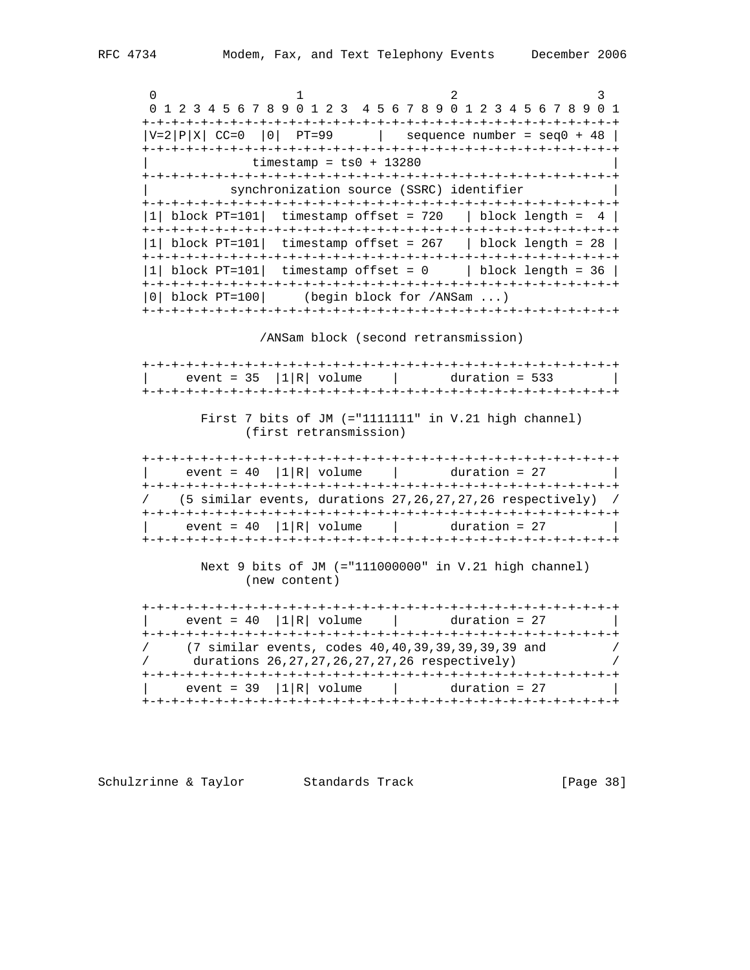0 1 2 3 4 5 6 7 8 9 0 1 2 3 4 5 6 7 8 9 0 1 2 3 4 5 6 7 8 9 0 1 +-+-+-+-+-+-+-+-+-+-+-+-+-+-+-+-+-+-+-+-+-+-+-+-+-+-+-+-+-+-+-+-+  $|V=2|P|X|$  CC=0 |0| PT=99 | sequence number = seq0 + 48 | +-+-+-+-+-+-+-+-+-+-+-+-+-+-+-+-+-+-+-+-+-+-+-+-+-+-+-+-+-+-+-+-+  $\tt$ imestamp =  $ts0 + 13280$  +-+-+-+-+-+-+-+-+-+-+-+-+-+-+-+-+-+-+-+-+-+-+-+-+-+-+-+-+-+-+-+-+ synchronization source (SSRC) identifier +-+-+-+-+-+-+-+-+-+-+-+-+-+-+-+-+-+-+-+-+-+-+-+-+-+-+-+-+-+-+-+-+ |1| block PT=101| timestamp offset = 720 | block length =  $4$  | +-+-+-+-+-+-+-+-+-+-+-+-+-+-+-+-+-+-+-+-+-+-+-+-+-+-+-+-+-+-+-+-+ |1| block PT=101| timestamp offset = 267 | block length = 28 | +-+-+-+-+-+-+-+-+-+-+-+-+-+-+-+-+-+-+-+-+-+-+-+-+-+-+-+-+-+-+-+-+ |1| block PT=101| timestamp offset = 0 | block length = 36 | +-+-+-+-+-+-+-+-+-+-+-+-+-+-+-+-+-+-+-+-+-+-+-+-+-+-+-+-+-+-+-+-+ |0| block PT=100| (begin block for /ANSam ...) +-+-+-+-+-+-+-+-+-+-+-+-+-+-+-+-+-+-+-+-+-+-+-+-+-+-+-+-+-+-+-+-+

/ANSam block (second retransmission)

| event = $35$   1   R   volume | $duration = 533$ |
|-------------------------------|------------------|
|                               |                  |

 First 7 bits of JM (="1111111" in V.21 high channel) (first retransmission)

 +-+-+-+-+-+-+-+-+-+-+-+-+-+-+-+-+-+-+-+-+-+-+-+-+-+-+-+-+-+-+-+-+  $|\text{ event = 40} |1|R| \text{ volume}$  | duration = 27 | +-+-+-+-+-+-+-+-+-+-+-+-+-+-+-+-+-+-+-+-+-+-+-+-+-+-+-+-+-+-+-+-+ / (5 similar events, durations 27,26,27,27,26 respectively) / +-+-+-+-+-+-+-+-+-+-+-+-+-+-+-+-+-+-+-+-+-+-+-+-+-+-+-+-+-+-+-+-+  $event = 40 |1|R|$  volume  $|$  duration = 27 +-+-+-+-+-+-+-+-+-+-+-+-+-+-+-+-+-+-+-+-+-+-+-+-+-+-+-+-+-+-+-+-+

> Next 9 bits of JM (="111000000" in V.21 high channel) (new content)

 +-+-+-+-+-+-+-+-+-+-+-+-+-+-+-+-+-+-+-+-+-+-+-+-+-+-+-+-+-+-+-+-+ | event =  $40$  |1|R| volume | duration =  $27$  +-+-+-+-+-+-+-+-+-+-+-+-+-+-+-+-+-+-+-+-+-+-+-+-+-+-+-+-+-+-+-+-+ / (7 similar events, codes 40,40,39,39,39,39,39 and / / durations 26,27,27,26,27,27,26 respectively) / +-+-+-+-+-+-+-+-+-+-+-+-+-+-+-+-+-+-+-+-+-+-+-+-+-+-+-+-+-+-+-+-+  $event = 39 |1|R| volume$  | duration = 27 +-+-+-+-+-+-+-+-+-+-+-+-+-+-+-+-+-+-+-+-+-+-+-+-+-+-+-+-+-+-+-+-+

Schulzrinne & Taylor Standards Track [Page 38]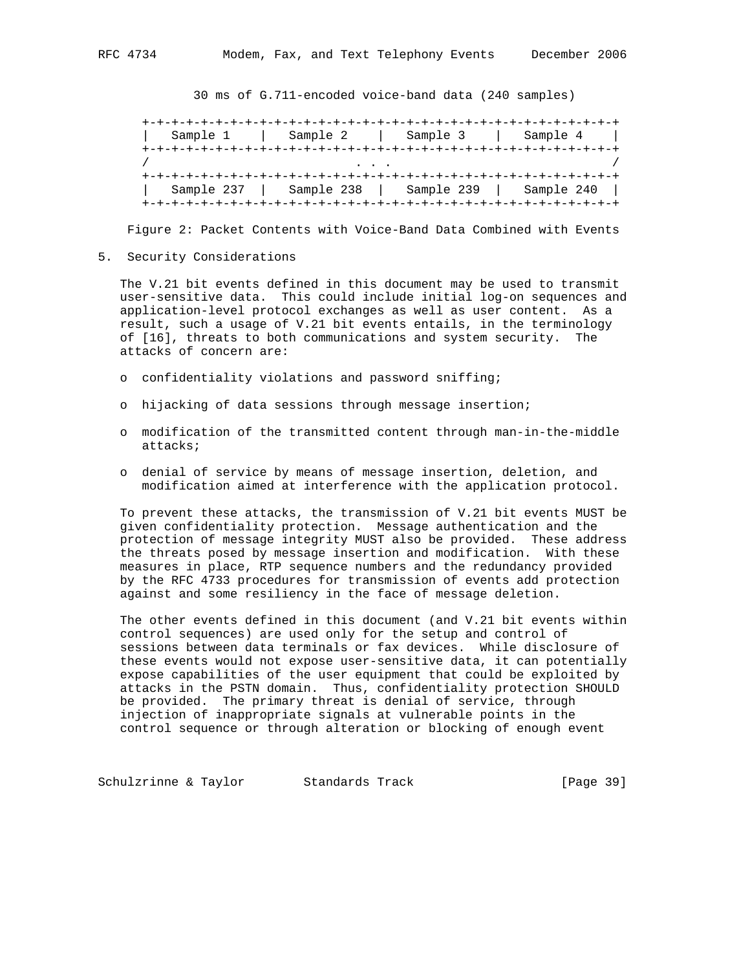30 ms of G.711-encoded voice-band data (240 samples)

 +-+-+-+-+-+-+-+-+-+-+-+-+-+-+-+-+-+-+-+-+-+-+-+-+-+-+-+-+-+-+-+-+ | Sample 1 | Sample 2 | Sample 3 | Sample 4 | +-+-+-+-+-+-+-+-+-+-+-+-+-+-+-+-+-+-+-+-+-+-+-+-+-+-+-+-+-+-+-+-+ / . . . / +-+-+-+-+-+-+-+-+-+-+-+-+-+-+-+-+-+-+-+-+-+-+-+-+-+-+-+-+-+-+-+-+ | Sample 237 | Sample 238 | Sample 239 | Sample 240 | +-+-+-+-+-+-+-+-+-+-+-+-+-+-+-+-+-+-+-+-+-+-+-+-+-+-+-+-+-+-+-+-+

Figure 2: Packet Contents with Voice-Band Data Combined with Events

5. Security Considerations

 The V.21 bit events defined in this document may be used to transmit user-sensitive data. This could include initial log-on sequences and application-level protocol exchanges as well as user content. As a result, such a usage of V.21 bit events entails, in the terminology of [16], threats to both communications and system security. The attacks of concern are:

- o confidentiality violations and password sniffing;
- o hijacking of data sessions through message insertion;
- o modification of the transmitted content through man-in-the-middle attacks;
- o denial of service by means of message insertion, deletion, and modification aimed at interference with the application protocol.

 To prevent these attacks, the transmission of V.21 bit events MUST be given confidentiality protection. Message authentication and the protection of message integrity MUST also be provided. These address the threats posed by message insertion and modification. With these measures in place, RTP sequence numbers and the redundancy provided by the RFC 4733 procedures for transmission of events add protection against and some resiliency in the face of message deletion.

 The other events defined in this document (and V.21 bit events within control sequences) are used only for the setup and control of sessions between data terminals or fax devices. While disclosure of these events would not expose user-sensitive data, it can potentially expose capabilities of the user equipment that could be exploited by attacks in the PSTN domain. Thus, confidentiality protection SHOULD be provided. The primary threat is denial of service, through injection of inappropriate signals at vulnerable points in the control sequence or through alteration or blocking of enough event

Schulzrinne & Taylor Standards Track (Page 39)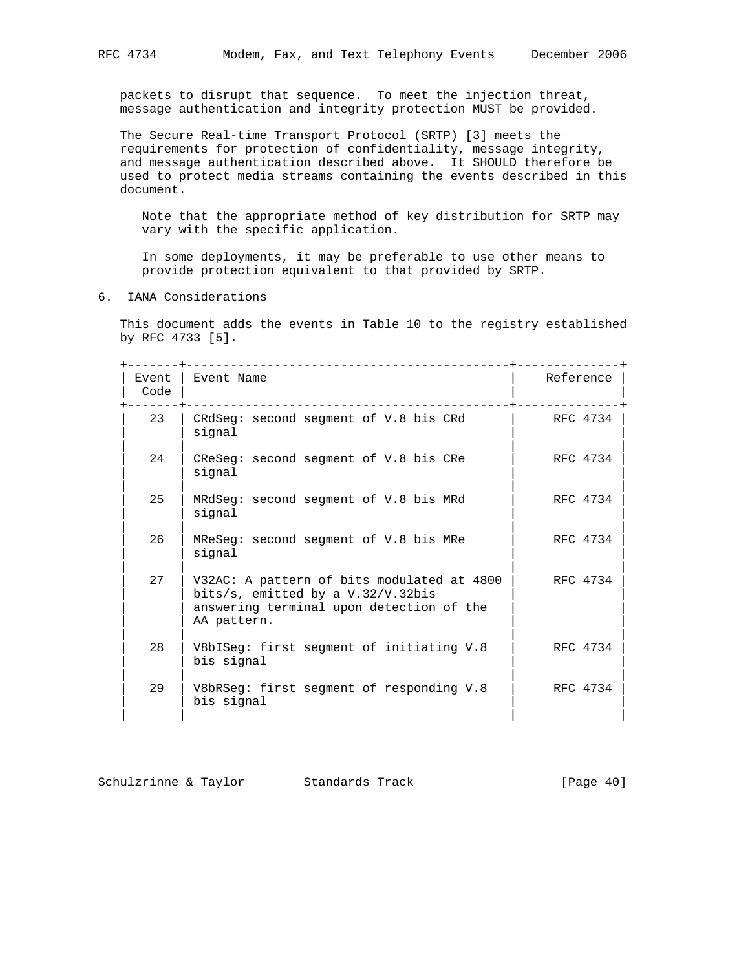packets to disrupt that sequence. To meet the injection threat, message authentication and integrity protection MUST be provided.

 The Secure Real-time Transport Protocol (SRTP) [3] meets the requirements for protection of confidentiality, message integrity, and message authentication described above. It SHOULD therefore be used to protect media streams containing the events described in this document.

 Note that the appropriate method of key distribution for SRTP may vary with the specific application.

 In some deployments, it may be preferable to use other means to provide protection equivalent to that provided by SRTP.

6. IANA Considerations

 This document adds the events in Table 10 to the registry established by RFC 4733 [5].

| Event<br>Code | Event Name                                                                                                                                   | Reference |
|---------------|----------------------------------------------------------------------------------------------------------------------------------------------|-----------|
| 23            | CRdSeg: second segment of V.8 bis CRd<br>signal                                                                                              | RFC 4734  |
| 24            | CReSeq: second seqment of V.8 bis CRe<br>signal                                                                                              | RFC 4734  |
| 25            | MRdSeg: second segment of V.8 bis MRd<br>signal                                                                                              | RFC 4734  |
| 26            | MReSeq: second seqment of V.8 bis MRe<br>signal                                                                                              | RFC 4734  |
| 27            | V32AC: A pattern of bits modulated at 4800<br>bits/s, emitted by a $V.32/V.32bis$<br>answering terminal upon detection of the<br>AA pattern. | RFC 4734  |
| 28            | V8bISeq: first seqment of initiating V.8<br>bis signal                                                                                       | RFC 4734  |
| 29            | V8bRSeg: first segment of responding V.8<br>bis signal                                                                                       | RFC 4734  |

| Schulzrinne & Taylor | Standards Track | [Page 40] |
|----------------------|-----------------|-----------|
|----------------------|-----------------|-----------|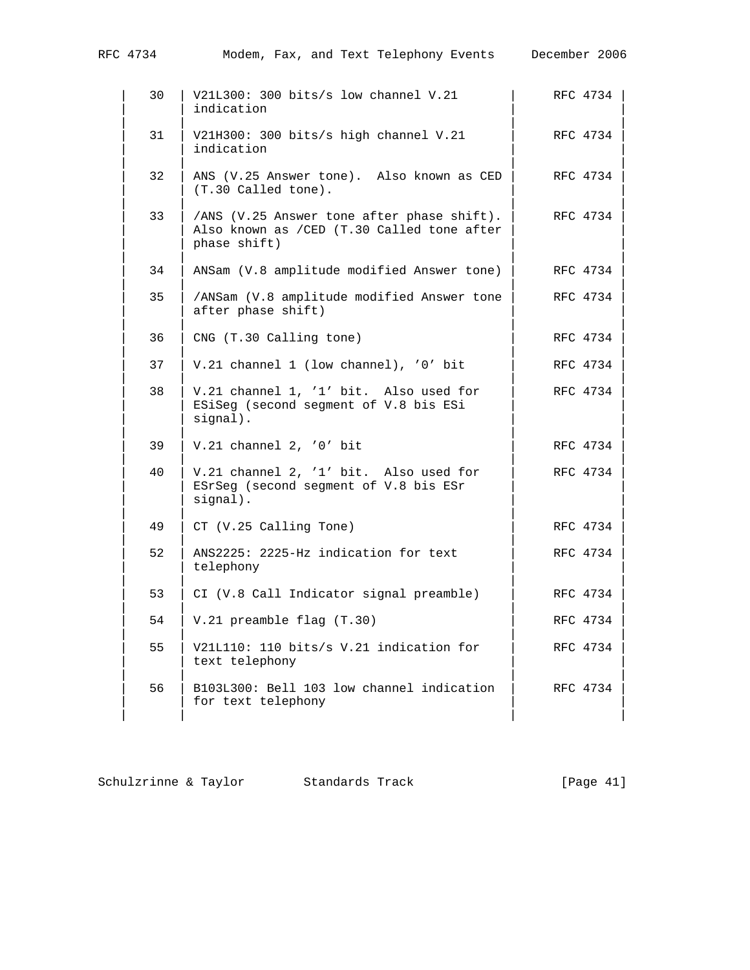| RFC 4734 | Modem, Fax, and Text Telephony Events December 2006                                                       |          |
|----------|-----------------------------------------------------------------------------------------------------------|----------|
| 30       | V21L300: 300 bits/s low channel V.21<br>indication                                                        | RFC 4734 |
| 31       | V21H300: 300 bits/s high channel V.21<br>indication                                                       | RFC 4734 |
| 32       | ANS (V.25 Answer tone). Also known as CED<br>(T.30 Called tone).                                          | RFC 4734 |
| 33       | /ANS (V.25 Answer tone after phase shift).<br>Also known as / CED (T.30 Called tone after<br>phase shift) | RFC 4734 |
| 34       | ANSam (V.8 amplitude modified Answer tone)                                                                | RFC 4734 |
| 35       | /ANSam (V.8 amplitude modified Answer tone<br>after phase shift)                                          | RFC 4734 |
| 36       | CNG (T.30 Calling tone)                                                                                   | RFC 4734 |
| 37       | V.21 channel 1 (low channel), '0' bit                                                                     | RFC 4734 |
| 38       | V.21 channel 1, '1' bit. Also used for<br>ESiSeg (second segment of V.8 bis ESi<br>signal).               | RFC 4734 |
| 39       | $V.21$ channel 2, '0' bit                                                                                 | RFC 4734 |
| 40       | V.21 channel 2, '1' bit. Also used for<br>ESrSeg (second segment of V.8 bis ESr<br>signal).               | RFC 4734 |
| 49       | CT (V.25 Calling Tone)                                                                                    | RFC 4734 |
| 52       | ANS2225: 2225-Hz indication for text<br>telephony                                                         | RFC 4734 |
| 53       | CI (V.8 Call Indicator signal preamble)                                                                   | RFC 4734 |
| 54       | V.21 preamble flag (T.30)                                                                                 | RFC 4734 |
| 55       | V21L110: 110 bits/s V.21 indication for<br>text telephony                                                 | RFC 4734 |
| 56       | B103L300: Bell 103 low channel indication<br>for text telephony                                           | RFC 4734 |
|          |                                                                                                           |          |

|  | Schulzrinne & Taylor |  | Standards Track | [Page $41$ ] |
|--|----------------------|--|-----------------|--------------|
|--|----------------------|--|-----------------|--------------|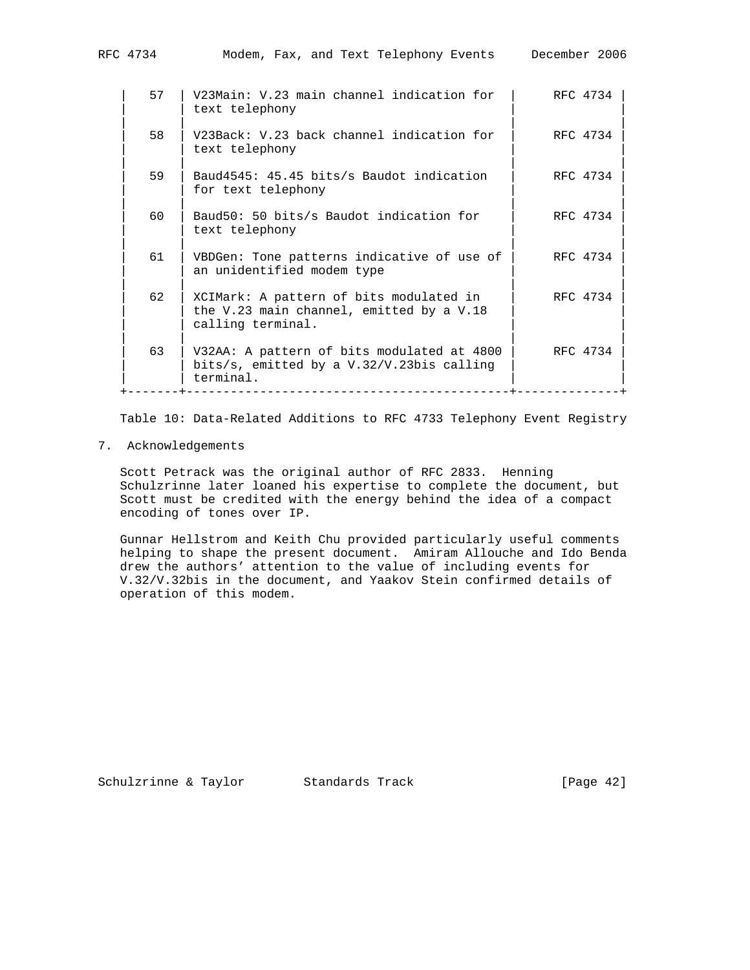| RFC 4734 | Modem, Fax, and Text Telephony Events                          | December 2006 |
|----------|----------------------------------------------------------------|---------------|
| 57       | V23Main: V.23 main channel indication for<br>text telephony    | RFC 4734      |
| 58       | V23Back: V.23 back channel indication for<br>text telephony    | RFC 4734      |
| 59       | Baud4545: 45.45 bits/s Baudot indication<br>for text telephony | RFC 4734      |
| 60       | Baud50: 50 bits/s Baudot indication for<br>text telephony      | RFC 4734      |
|          |                                                                |               |

61 | VBDGen: Tone patterns indicative of use of  $|$  RFC 4734

 | | | | 62 | XCIMark: A pattern of bits modulated in | RFC 4734

 | | | | | 63 | V32AA: A pattern of bits modulated at 4800 | RFC 4734 |

the V.23 main channel, emitted by a V.18

bits/s, emitted by a V.32/V.23bis calling

an unidentified modem type

calling terminal.

terminal.

Table 10: Data-Related Additions to RFC 4733 Telephony Event Registry

+-------+--------------------------------------------+--------------+

7. Acknowledgements

 Scott Petrack was the original author of RFC 2833. Henning Schulzrinne later loaned his expertise to complete the document, but Scott must be credited with the energy behind the idea of a compact encoding of tones over IP.

 Gunnar Hellstrom and Keith Chu provided particularly useful comments helping to shape the present document. Amiram Allouche and Ido Benda drew the authors' attention to the value of including events for V.32/V.32bis in the document, and Yaakov Stein confirmed details of operation of this modem.

Schulzrinne & Taylor Standards Track [Page 42]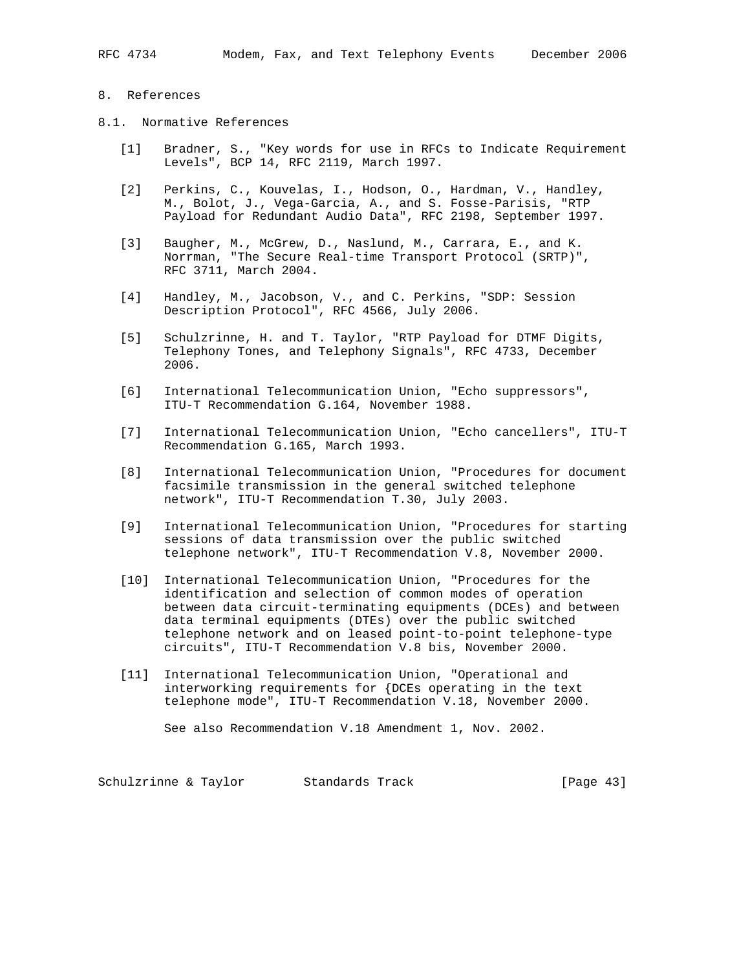## 8. References

- 8.1. Normative References
	- [1] Bradner, S., "Key words for use in RFCs to Indicate Requirement Levels", BCP 14, RFC 2119, March 1997.
	- [2] Perkins, C., Kouvelas, I., Hodson, O., Hardman, V., Handley, M., Bolot, J., Vega-Garcia, A., and S. Fosse-Parisis, "RTP Payload for Redundant Audio Data", RFC 2198, September 1997.
	- [3] Baugher, M., McGrew, D., Naslund, M., Carrara, E., and K. Norrman, "The Secure Real-time Transport Protocol (SRTP)", RFC 3711, March 2004.
	- [4] Handley, M., Jacobson, V., and C. Perkins, "SDP: Session Description Protocol", RFC 4566, July 2006.
	- [5] Schulzrinne, H. and T. Taylor, "RTP Payload for DTMF Digits, Telephony Tones, and Telephony Signals", RFC 4733, December 2006.
	- [6] International Telecommunication Union, "Echo suppressors", ITU-T Recommendation G.164, November 1988.
	- [7] International Telecommunication Union, "Echo cancellers", ITU-T Recommendation G.165, March 1993.
	- [8] International Telecommunication Union, "Procedures for document facsimile transmission in the general switched telephone network", ITU-T Recommendation T.30, July 2003.
	- [9] International Telecommunication Union, "Procedures for starting sessions of data transmission over the public switched telephone network", ITU-T Recommendation V.8, November 2000.
	- [10] International Telecommunication Union, "Procedures for the identification and selection of common modes of operation between data circuit-terminating equipments (DCEs) and between data terminal equipments (DTEs) over the public switched telephone network and on leased point-to-point telephone-type circuits", ITU-T Recommendation V.8 bis, November 2000.
	- [11] International Telecommunication Union, "Operational and interworking requirements for {DCEs operating in the text telephone mode", ITU-T Recommendation V.18, November 2000.

See also Recommendation V.18 Amendment 1, Nov. 2002.

Schulzrinne & Taylor Standards Track [Page 43]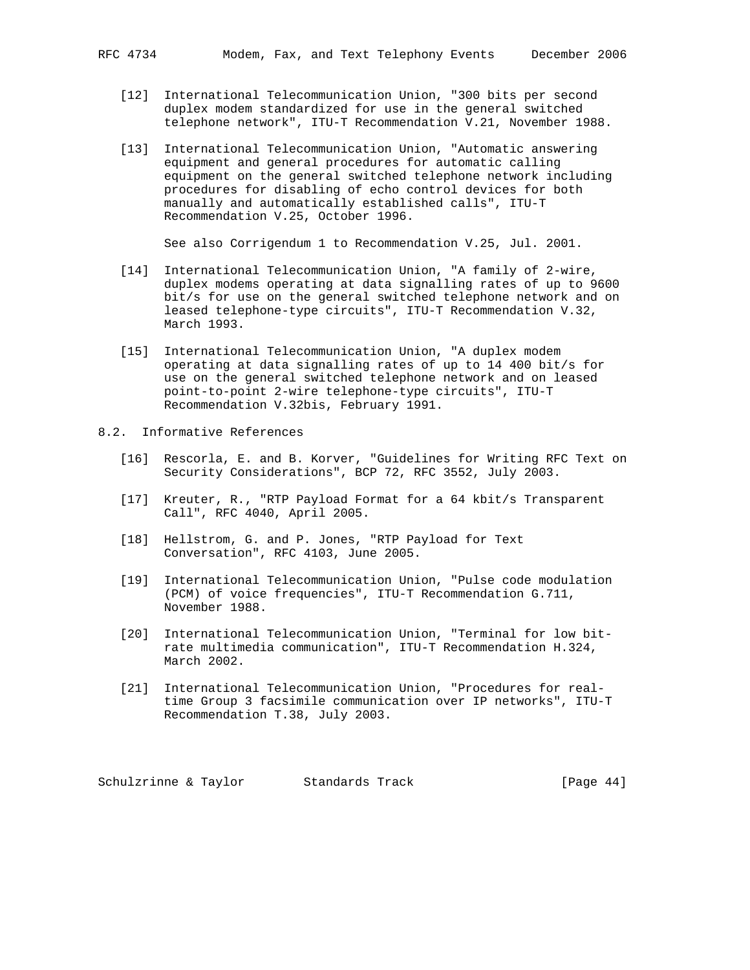- [12] International Telecommunication Union, "300 bits per second duplex modem standardized for use in the general switched telephone network", ITU-T Recommendation V.21, November 1988.
- [13] International Telecommunication Union, "Automatic answering equipment and general procedures for automatic calling equipment on the general switched telephone network including procedures for disabling of echo control devices for both manually and automatically established calls", ITU-T Recommendation V.25, October 1996.

See also Corrigendum 1 to Recommendation V.25, Jul. 2001.

- [14] International Telecommunication Union, "A family of 2-wire, duplex modems operating at data signalling rates of up to 9600 bit/s for use on the general switched telephone network and on leased telephone-type circuits", ITU-T Recommendation V.32, March 1993.
- [15] International Telecommunication Union, "A duplex modem operating at data signalling rates of up to 14 400 bit/s for use on the general switched telephone network and on leased point-to-point 2-wire telephone-type circuits", ITU-T Recommendation V.32bis, February 1991.
- 8.2. Informative References
	- [16] Rescorla, E. and B. Korver, "Guidelines for Writing RFC Text on Security Considerations", BCP 72, RFC 3552, July 2003.
	- [17] Kreuter, R., "RTP Payload Format for a 64 kbit/s Transparent Call", RFC 4040, April 2005.
	- [18] Hellstrom, G. and P. Jones, "RTP Payload for Text Conversation", RFC 4103, June 2005.
	- [19] International Telecommunication Union, "Pulse code modulation (PCM) of voice frequencies", ITU-T Recommendation G.711, November 1988.
	- [20] International Telecommunication Union, "Terminal for low bit rate multimedia communication", ITU-T Recommendation H.324, March 2002.
	- [21] International Telecommunication Union, "Procedures for real time Group 3 facsimile communication over IP networks", ITU-T Recommendation T.38, July 2003.

Schulzrinne & Taylor Standards Track [Page 44]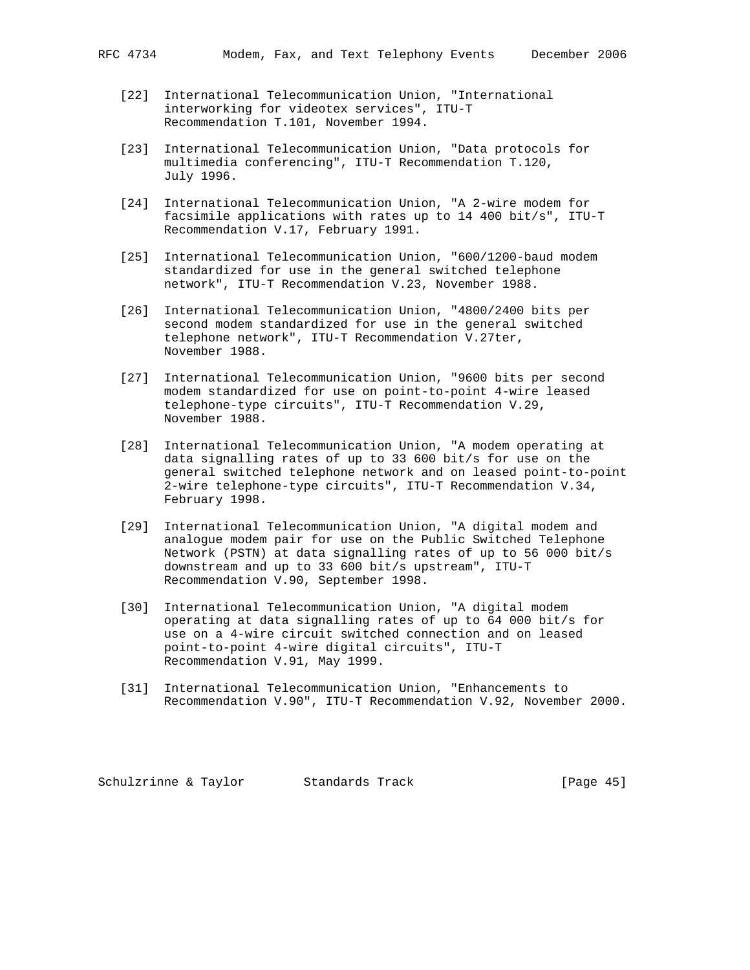- [22] International Telecommunication Union, "International interworking for videotex services", ITU-T Recommendation T.101, November 1994.
- [23] International Telecommunication Union, "Data protocols for multimedia conferencing", ITU-T Recommendation T.120, July 1996.
- [24] International Telecommunication Union, "A 2-wire modem for facsimile applications with rates up to 14 400 bit/s", ITU-T Recommendation V.17, February 1991.
- [25] International Telecommunication Union, "600/1200-baud modem standardized for use in the general switched telephone network", ITU-T Recommendation V.23, November 1988.
- [26] International Telecommunication Union, "4800/2400 bits per second modem standardized for use in the general switched telephone network", ITU-T Recommendation V.27ter, November 1988.
- [27] International Telecommunication Union, "9600 bits per second modem standardized for use on point-to-point 4-wire leased telephone-type circuits", ITU-T Recommendation V.29, November 1988.
- [28] International Telecommunication Union, "A modem operating at data signalling rates of up to 33 600 bit/s for use on the general switched telephone network and on leased point-to-point 2-wire telephone-type circuits", ITU-T Recommendation V.34, February 1998.
- [29] International Telecommunication Union, "A digital modem and analogue modem pair for use on the Public Switched Telephone Network (PSTN) at data signalling rates of up to 56 000 bit/s downstream and up to 33 600 bit/s upstream", ITU-T Recommendation V.90, September 1998.
- [30] International Telecommunication Union, "A digital modem operating at data signalling rates of up to 64 000 bit/s for use on a 4-wire circuit switched connection and on leased point-to-point 4-wire digital circuits", ITU-T Recommendation V.91, May 1999.
- [31] International Telecommunication Union, "Enhancements to Recommendation V.90", ITU-T Recommendation V.92, November 2000.

Schulzrinne & Taylor Standards Track [Page 45]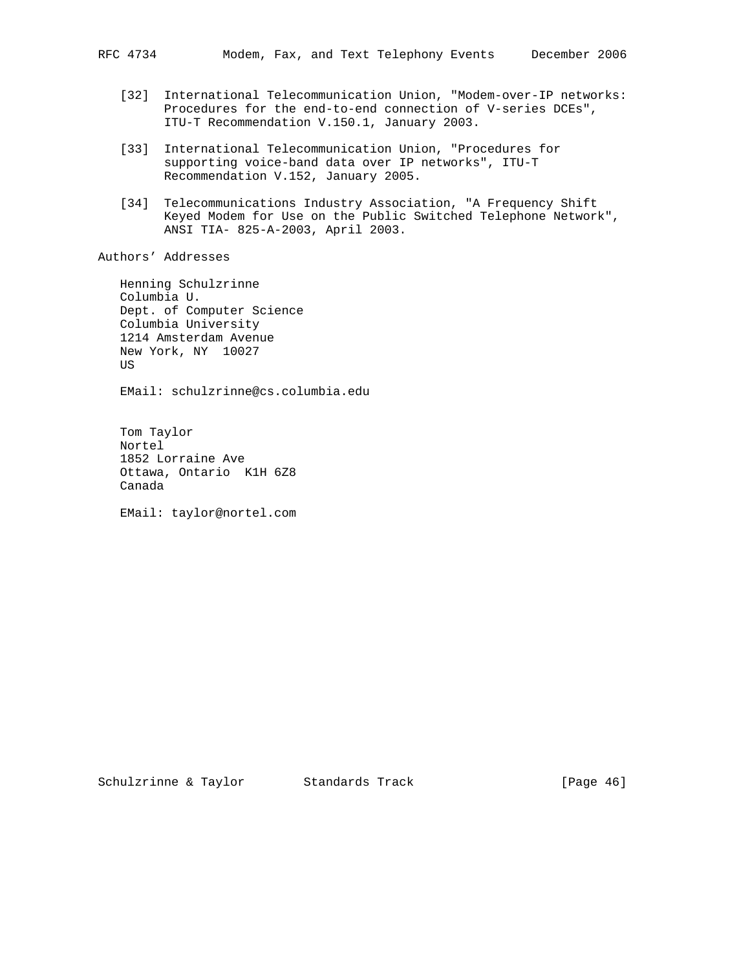- [32] International Telecommunication Union, "Modem-over-IP networks: Procedures for the end-to-end connection of V-series DCEs", ITU-T Recommendation V.150.1, January 2003.
- [33] International Telecommunication Union, "Procedures for supporting voice-band data over IP networks", ITU-T Recommendation V.152, January 2005.
- [34] Telecommunications Industry Association, "A Frequency Shift Keyed Modem for Use on the Public Switched Telephone Network", ANSI TIA- 825-A-2003, April 2003.

Authors' Addresses

 Henning Schulzrinne Columbia U. Dept. of Computer Science Columbia University 1214 Amsterdam Avenue New York, NY 10027 US

EMail: schulzrinne@cs.columbia.edu

 Tom Taylor Nortel 1852 Lorraine Ave Ottawa, Ontario K1H 6Z8 Canada

EMail: taylor@nortel.com

Schulzrinne & Taylor Standards Track [Page 46]